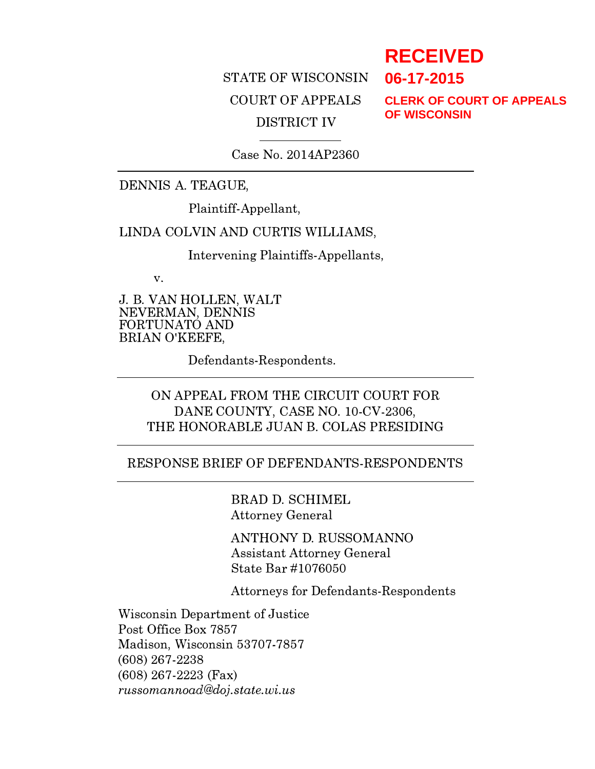# STATE OF WISCONSIN COURT OF APPEALS DISTRICT IV

**CLERK OF COURT OF APPEALS OF WISCONSIN**

**RECEIVED**

**06-17-2015**

Case No. 2014AP2360

#### DENNIS A. TEAGUE,

Plaintiff-Appellant,

#### LINDA COLVIN AND CURTIS WILLIAMS,

Intervening Plaintiffs-Appellants,

v.

J. B. VAN HOLLEN, WALT NEVERMAN, DENNIS FORTUNATO AND BRIAN O'KEEFE,

Defendants-Respondents.

# ON APPEAL FROM THE CIRCUIT COURT FOR DANE COUNTY, CASE NO. 10-CV-2306, THE HONORABLE JUAN B. COLAS PRESIDING

#### RESPONSE BRIEF OF DEFENDANTS-RESPONDENTS

BRAD D. SCHIMEL Attorney General

ANTHONY D. RUSSOMANNO Assistant Attorney General State Bar #1076050

Attorneys for Defendants-Respondents

Wisconsin Department of Justice Post Office Box 7857 Madison, Wisconsin 53707-7857 (608) 267-2238 (608) 267-2223 (Fax) russomannoad@doj .state. wi. us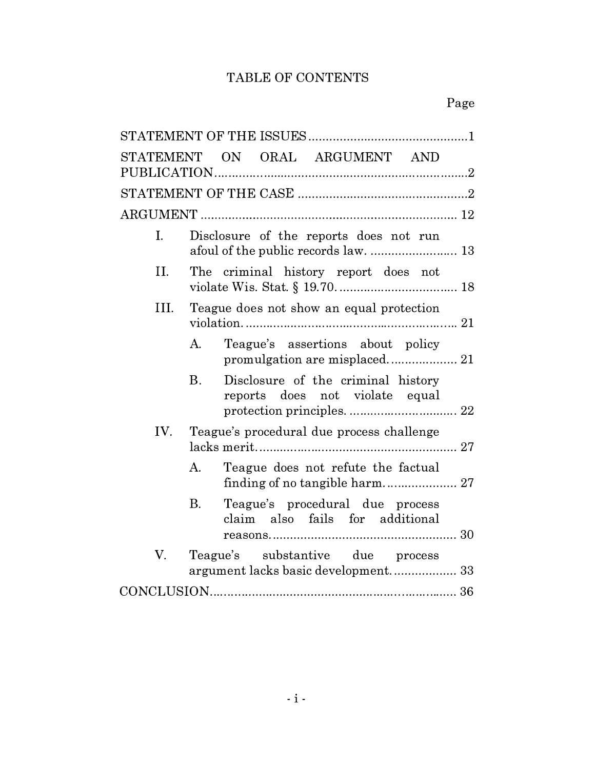# TABLE OF CONTENTS

| STATEMENT ON ORAL ARGUMENT AND                                                         |
|----------------------------------------------------------------------------------------|
|                                                                                        |
|                                                                                        |
| Disclosure of the reports does not run<br>I.                                           |
| II.<br>The criminal history report does not                                            |
| III.<br>Teague does not show an equal protection                                       |
| Teague's assertions about policy<br>A.                                                 |
| $\mathbf{B}$ .<br>Disclosure of the criminal history<br>reports does not violate equal |
| IV.<br>Teague's procedural due process challenge                                       |
| Teague does not refute the factual<br>A.                                               |
| Teague's procedural due process<br>В.<br>claim also fails for additional               |
| $V_{\cdot}$<br>Teague's substantive due process<br>argument lacks basic development 33 |
|                                                                                        |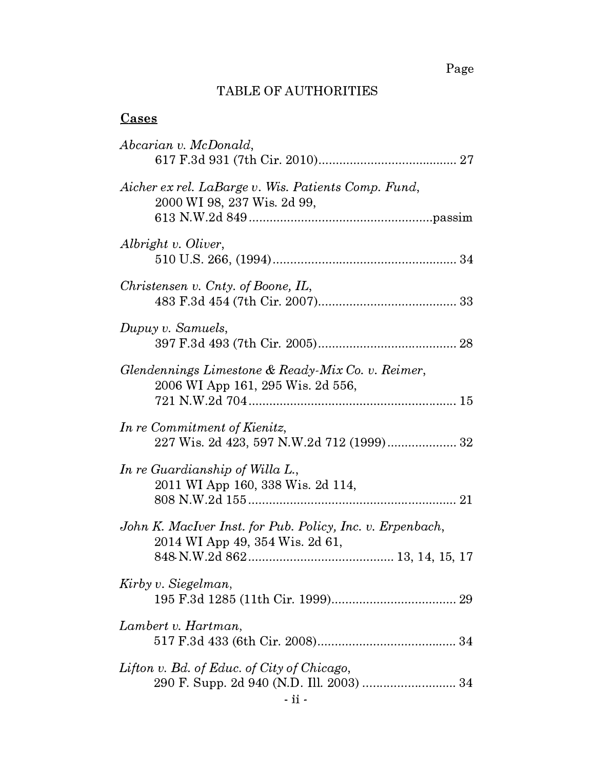Page

# TABLE OF AUTHORITIES

# **Cases**

| Abcarian v. McDonald,                                                                        |
|----------------------------------------------------------------------------------------------|
| Aicher ex rel. LaBarge v. Wis. Patients Comp. Fund,<br>2000 WI 98, 237 Wis. 2d 99,           |
| Albright v. Oliver,                                                                          |
| Christensen v. Cnty. of Boone, $IL$ ,                                                        |
| Dupuy v. Samuels,                                                                            |
| Glendennings Limestone & Ready-Mix Co. v. Reimer,<br>2006 WI App 161, 295 Wis. 2d 556,       |
| In re Commitment of Kienitz,<br>227 Wis. 2d 423, 597 N.W.2d 712 (1999) 32                    |
| In re Guardianship of Willa L.,<br>2011 WI App 160, 338 Wis. 2d 114,                         |
| John K. MacIver Inst. for Pub. Policy, Inc. v. Erpenbach,<br>2014 WI App 49, 354 Wis. 2d 61, |
| Kirby v. Siegelman,                                                                          |
| Lambert v. Hartman,                                                                          |
| Lifton v. Bd. of Educ. of City of Chicago,<br>290 F. Supp. 2d 940 (N.D. Ill. 2003)  34       |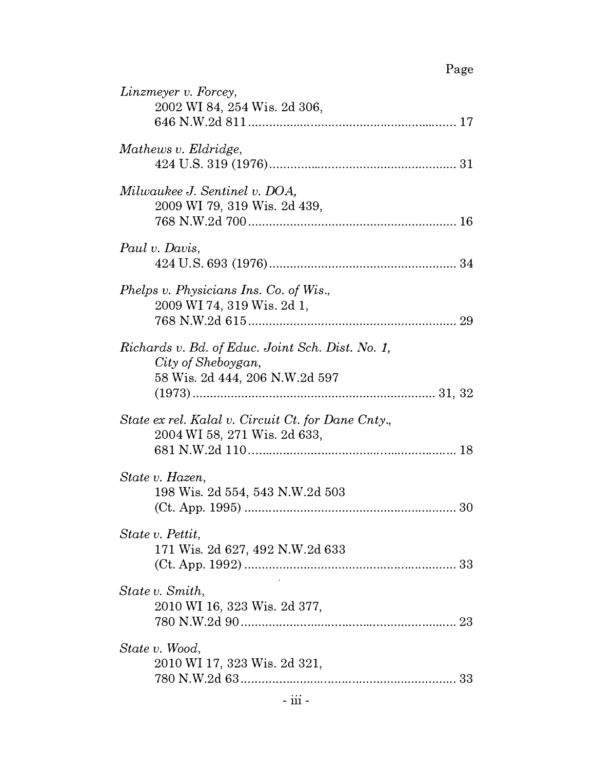# Page

| Linzmeyer v. Forcey,<br>2002 WI 84, 254 Wis. 2d 306,                                                     |
|----------------------------------------------------------------------------------------------------------|
| Mathews v. Eldridge,                                                                                     |
| Milwaukee J. Sentinel v. DOA,<br>2009 WI 79, 319 Wis. 2d 439,                                            |
| Paul v. Davis,                                                                                           |
| Phelps v. Physicians Ins. Co. of Wis.,<br>2009 WI 74, 319 Wis. 2d 1,                                     |
| Richards v. Bd. of Educ. Joint Sch. Dist. No. 1,<br>City of Sheboygan,<br>58 Wis. 2d 444, 206 N.W.2d 597 |
| State ex rel. Kalal v. Circuit Ct. for Dane Cnty.,<br>2004 WI 58, 271 Wis. 2d 633,                       |
| State v. Hazen,<br>198 Wis. 2d 554, 543 N.W.2d 503<br>30                                                 |
| State v. Pettit,<br>171 Wis. 2d 627, 492 N.W.2d 633                                                      |
| State v. Smith,<br>2010 WI 16, 323 Wis. 2d 377,                                                          |
| State v. Wood,<br>2010 WI 17, 323 Wis. 2d 321,                                                           |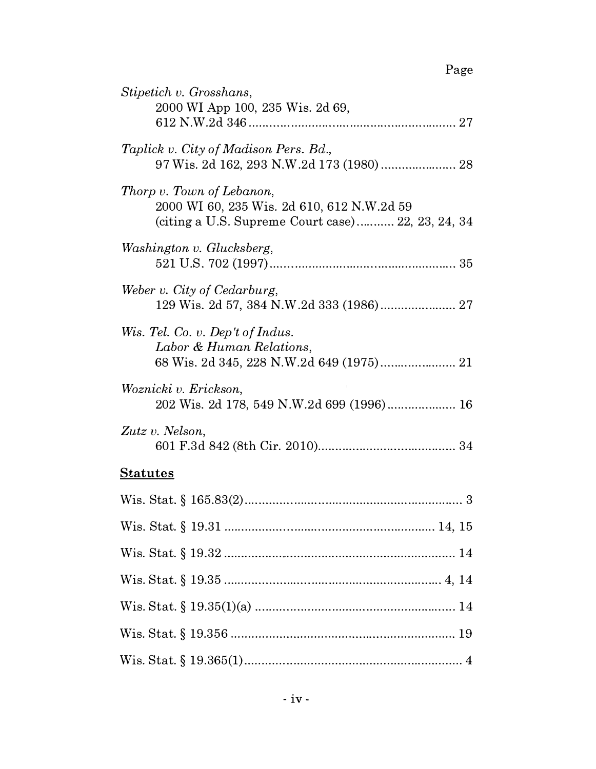| Stipetich v. Grosshans,<br>2000 WI App 100, 235 Wis. 2d 69,                                                                  |
|------------------------------------------------------------------------------------------------------------------------------|
| Taplick v. City of Madison Pers. Bd.,<br>97 Wis. 2d 162, 293 N.W.2d 173 (1980) 28                                            |
| Thorp v. Town of Lebanon,<br>2000 WI 60, 235 Wis. 2d 610, 612 N.W.2d 59<br>(citing a U.S. Supreme Court case) 22, 23, 24, 34 |
| Washington v. Glucksberg,                                                                                                    |
| Weber v. City of Cedarburg,<br>129 Wis. 2d 57, 384 N.W.2d 333 (1986) 27                                                      |
| Wis. Tel. Co. v. Dep't of Indus.<br>Labor & Human Relations,                                                                 |
| Woznicki v. Erickson,<br>202 Wis. 2d 178, 549 N.W.2d 699 (1996) 16                                                           |
| Zutz v. Nelson,                                                                                                              |
| <b>Statutes</b>                                                                                                              |
| 3                                                                                                                            |
|                                                                                                                              |
|                                                                                                                              |
|                                                                                                                              |
|                                                                                                                              |
|                                                                                                                              |
|                                                                                                                              |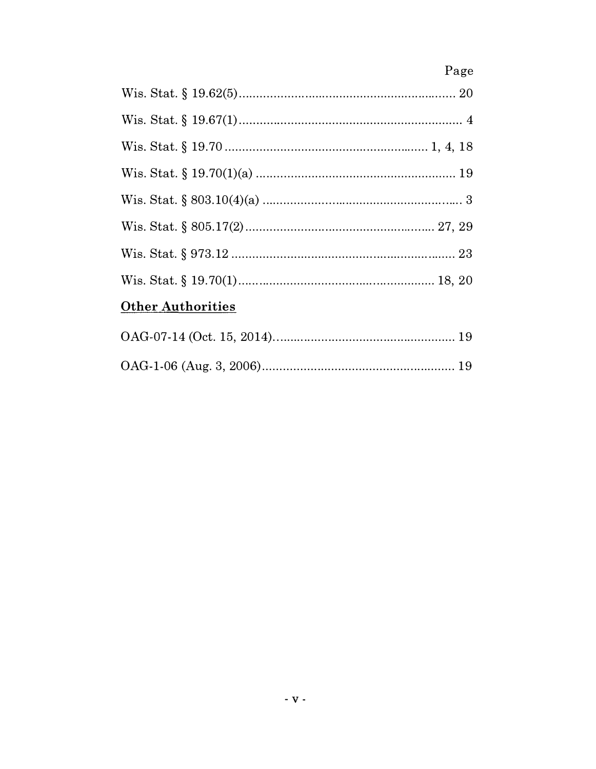|                          | Page |
|--------------------------|------|
|                          |      |
|                          |      |
|                          |      |
|                          |      |
|                          |      |
|                          |      |
|                          |      |
|                          |      |
| <b>Other Authorities</b> |      |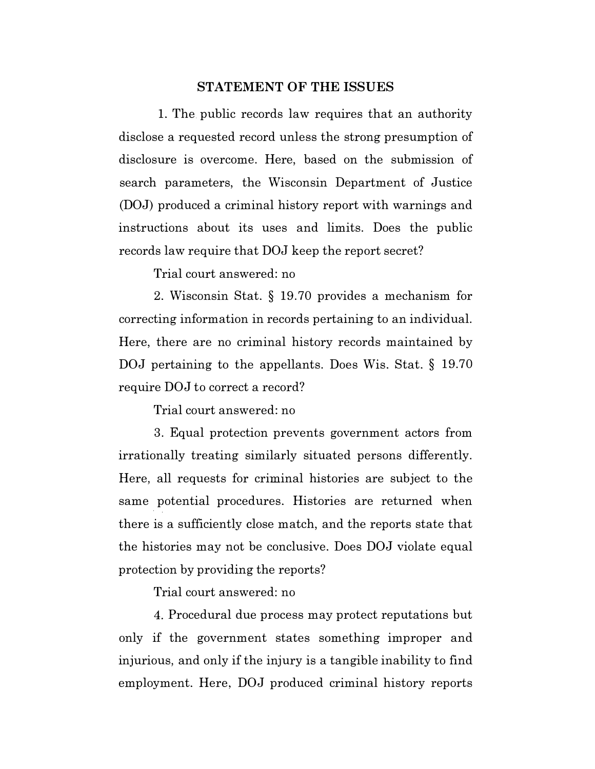#### STATEMENT OF THE ISSUES

1. The. public records law requires that an authority disclose a requested record unless the strong presumption of disclosure is overcome. Here, based on the submission of search parameters, the Wisconsin Department of Justice (DOJ) produced a criminal history report with warnings and instructions about its uses and limits. Does the public records law require that DOJ keep the report secret?

Trial court answered: no

2. Wisconsin Stat. § 19.70 provides a mechanism for correcting information in records pertaining to an individual. Here, there are no criminal history records maintained by DOJ pertaining to the appellants. Does Wis. Stat. § 19.70 require DOJ to correct a record?

Trial court answered: no

3. Equal protection prevents government actors from irrationally treating similarly situated persons differently. Here, all requests for criminal histories are subject to the same potential procedures. Histories are returned when there is a sufficiently close match, and the reports state that the histories may not be conclusive. Does DOJ violate equal protection by providing the reports?

Trial court answered: no

4. Procedural due process may protect reputations but only if the government states something improper and injurious, and only if the injury is a tangible inability to find employment. Here, DOJ produced criminal history reports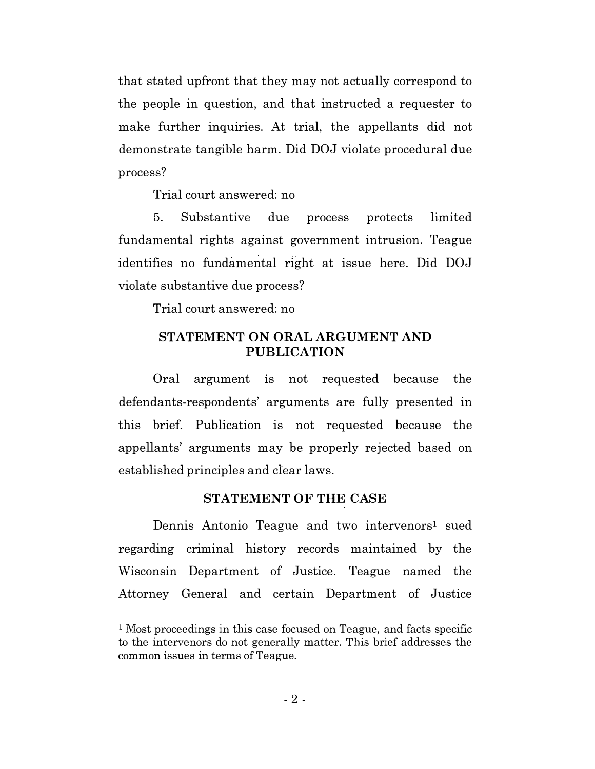that stated upfront that they may not actually correspond to the people in question, and that instructed a requester to make further inquiries. At trial, the appellants did not demonstrate tangible harm. Did DOJ violate procedural due process?

Trial court answered: no

5. Substantive due process protects limited fundamental rights against government intrusion. Teague identifies no fundamental right at issue here. Did DOJ violate substantive due process?

Trial court answered: no

## STATEMENT ON ORAL ARGUMENT AND PUBLICATION

Oral argument 1s not requested because the defendants-respondents' arguments are fully presented in this brief. Publication is not requested because the appellants' arguments may be properly rejected based on established principles and ciear laws.

# STATEMENT OF THE CASE

Dennis Antonio Teague and two intervenors<sup>1</sup> sued regarding criminal history records maintained by the Wisconsin Department of Justice. Teague named the Attorney General and certain Department of Justice

<sup>&</sup>lt;sup>1</sup> Most proceedings in this case focused on Teague, and facts specific to the intervenors do not generally matter. This brief addresses the common issues in terms of Teague.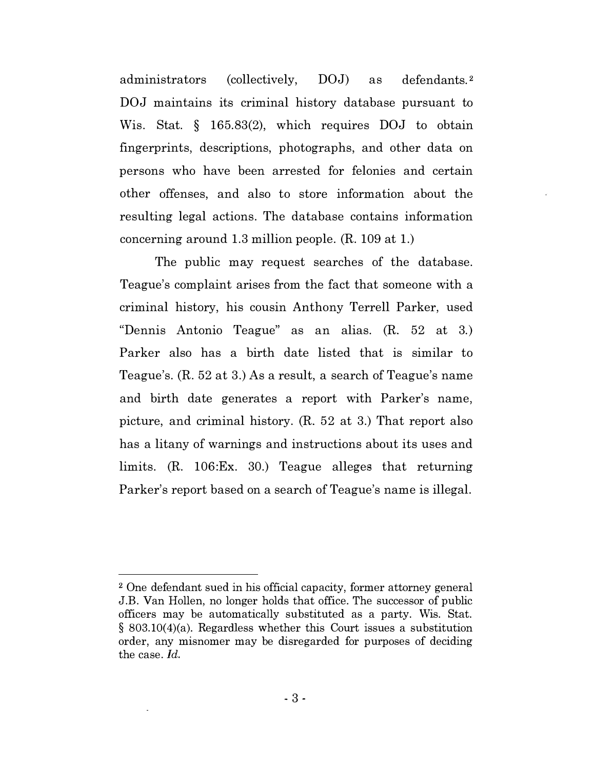administrators (collectively, DOJ) as defendants.2 DOJ maintains its criminal history database pursuant to Wis. Stat. § 165.83(2), which requires DOJ to obtain fingerprints, descriptions, photographs, and other data on persons who have been arrested for felonies and certain other offenses, and also to store information about the resulting legal actions. The database contains information concerning around 1.3 million people. (R. 109 at 1.)

The public may request searches of the database. Teague's complaint arises from the fact that someone with a criminal history, his cousin Anthony Terrell Parker, used "Dennis Antonio Teague" as an alias. (R. 52 at 3.) Parker also has a birth date listed that is similar to Teague's. (R. 52 at 3.) As a result, a search of Teague's name and birth date generates a report with Parker's name, picture, and criminal history. (R. 52 at 3.) That report also has a litany of warnings and instructions about its uses and limits. (R. 106:Ex. 30.) Teague alleges that returning Parker's report based on a search of Teague's name is illegal.

<sup>2</sup> One defendant sued in his official capacity, former attorney general J.B. Van Hollen, no longer holds that office. The successor of public officers may be automatically substituted as a party. Wis. Stat. § 803.10(4)(a). Regardless whether this Court issues a substitution order, any misnomer may be disregarded for purposes of deciding the case. Id.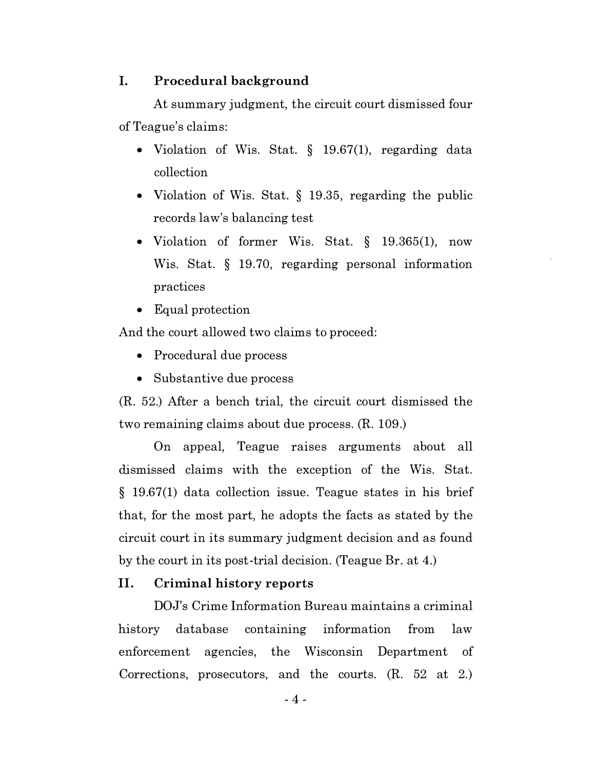#### I. Procedural background

At summary judgment, the circuit court dismissed four of Teague's claims:

- Violation of Wis. Stat. § 19.67(1), regarding data collection
- Violation of Wis. Stat. § 19.35, regarding the public records law's balancing test
- Violation of former Wis. Stat. § 19.365(1), now Wis. Stat. § 19.70, regarding personal information practices

 $\hat{\mathbf{r}}_i$ 

• Equal protection

And the court allowed two claims to proceed:

- Procedural due process
- Substantive due process

(R. 52.) After a bench trial, the circuit court dismissed the two remaining claims about due process. (R. 109.)

On appeal, Teague raises arguments about all dismissed claims with the exception of the Wis. Stat. § 19.67(1) data collection issue. Teague states in his brief that, for the most part, he adopts the facts as stated by the circuit court in its summary judgment decision and as found by the court in its post-trial decision. (Teague Br. at 4.)

#### II. Criminal history reports

DOJ's Crime Information Bureau maintains a criminal history database containing information from law enforcement agencies, the Wisconsin Department of Corrections, prosecutors, and the courts. (R. 52 at 2.)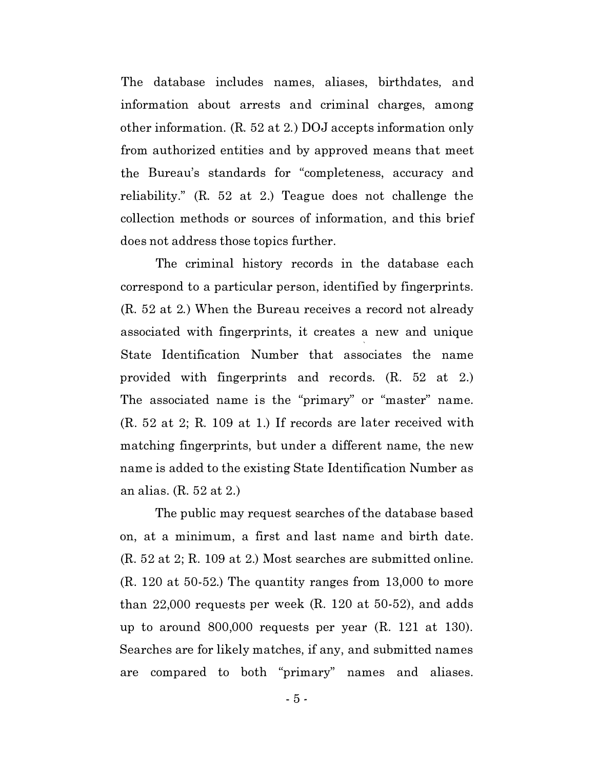The database includes names, aliases, birthdates, and information about arrests and criminal charges, among other information. (R. 52 at 2.) DOJ accepts information only from authorized entities and by approved means that meet the Bureau's standards for "completeness, accuracy and reliability." (R. 52 at 2.) Teague does not challenge the collection methods or sources of information, and this brief does not address those topics further.

The criminal history records in the database each correspond to a particular person, identified by fingerprints. (R. 52 at 2.) When the Bureau receives a record not already associated with fingerprints, it creates a new and unique State Identification Number that associates the name provided with fingerprints and records. (R. 52 at 2.) The associated name is the "primary" or "master" name. (R. 52 at 2; R. 109 at 1.) If records are later received with matching fingerprints, but under a different name, the new name is added to the existing State Identification Number as an alias. (R. 52 at 2.)

The public may request searches of the database based on, at a minimum, a first and last name and birth date. (R. 52 at 2; R. 109 at 2.) Most searches are submitted online. (R. 120 at 50-52.) The quantity ranges from 13,000 to more than 22,000 requests per week (R. 120 at 50-52), and adds up to around 800,000 requests per year (R. 121 at 130). Searches are for likely matches, if any, and submitted names are compared to both "primary" names and aliases.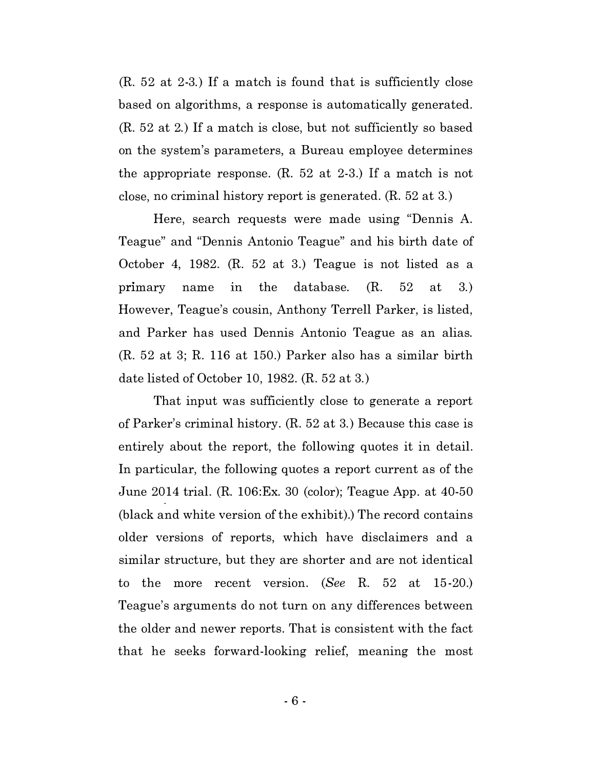(R. 52 at 2-3.) If a match is found that is sufficiently close based on algorithms, a response is automatically generated. (R. 52 at 2.) If a match is close, but not sufficiently so based on the system's parameters, a Bureau employee determines the appropriate response. (R. 52 at 2-3.) If a match is not close, no criminal history report is generated. (R. 52 at 3.)

Here, search requests were made using "Dennis A. Teague" and "Dennis Antonio Teague" and his birth date of October 4, 1982. (R. 52 at 3.) Teague is not listed as a primary name in the database.  $(R. 52 \text{ at } 3.)$ However, Teague's cousin, Anthony Terrell Parker, is listed, and Parker has used Dennis Antonio Teague as an alias. (R. 52 at 3; R. 116 at 150.) Parker also has a similar birth date listed of October 10, 1982. (R. 52 at 3.)

That input was sufficiently close to generate a report of Parker's criminal history. (R. 52 at 3.) Because this case is entirely about the report, the following quotes it in detail. In particular, the following quotes a report current as of the June 2014 trial. (R. 106:Ex. 30 (color); Teague App. at 40-50 (black and white version of the exhibit).) The record contains older versions of reports, which have disclaimers and a similar structure, but they are shorter and are not identical to the more recent version. (See R. 52 at 15-20.) Teague's arguments do not turn on any differences between the older and newer reports. That is consistent with the fact that he seeks forward-looking relief, meaning the most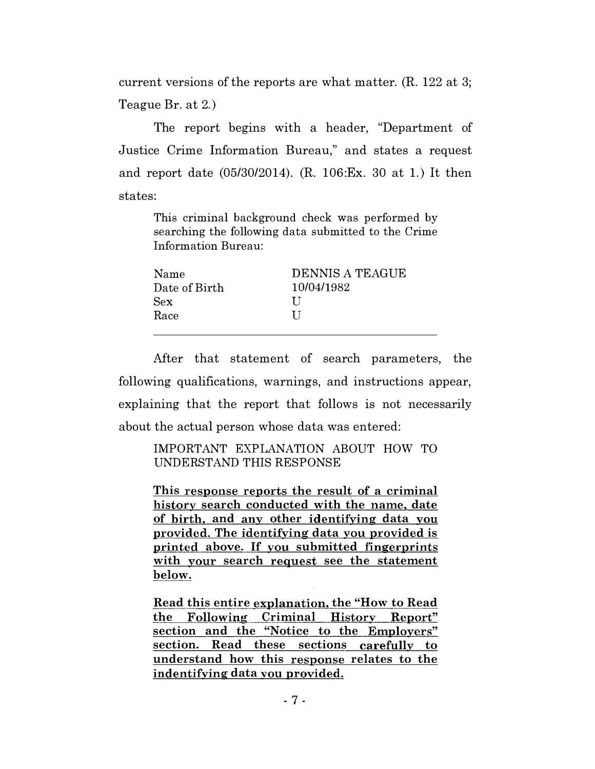current versions of the reports are what matter. (R. 122 at 3; Teague Br. at 2.)

The report begins with a header, "Department of Justice Crime Information Bureau," and states a request and report date (05/30/2014). (R. 106:Ex. 30 at 1.) It then states:

This criminal background check was performed by searching the following data submitted to the Crime Information Bureau:

After that statement of search parameters, the following qualifications, warnings, and instructions appear, explaining that the report that follows is not necessarily about the actual person whose data was entered:

IMPORTANT EXPLANATION ABOUT HOW TO UNDERSTAND THIS RESPONSE

This response reports the result of a criminal history search conducted with the name, date of birth, and· any other identifying data you provided. The identifying data you provided is printed above. If you submitted fingerprints with your search request see the statement below.

Read this entire explanation, the "How to Read the Following Criminal Historv Report" section and the "Notice to the Employers" section. Read these sections carefully to understand how this response relates to the indentifying data you provided.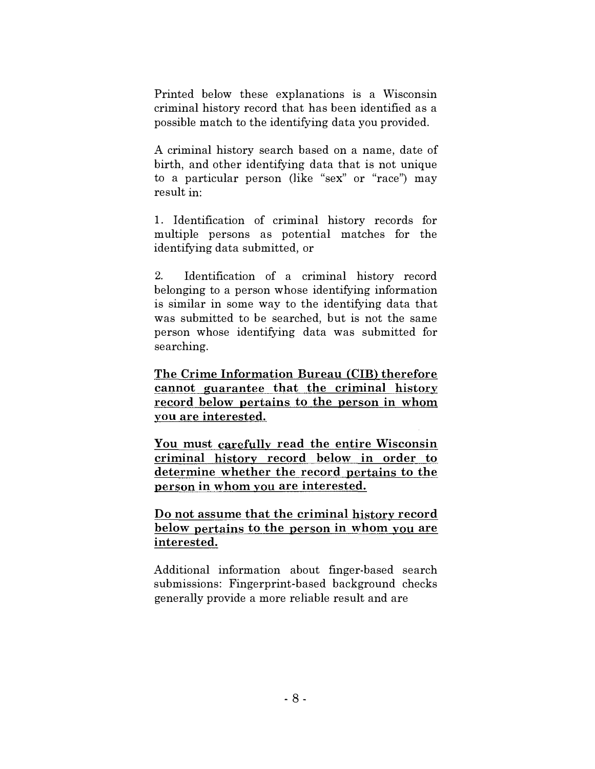Printed below these explanations is a Wisconsin criminal history record that has been identified as a possible match to the identifying data you provided.

A criminal history search based on a name, date of birth, and other identifying data that is not unique to a particular person (like "sex" or "race") may result in:

1. Identification of criminal history records for multiple persons as potential matches for the identifying data submitted, or

2. Identification of a criminal history record belonging to a person whose identifying information is similar in some way to the identifying data that was submitted to be searched, but is not the same person whose identifying data was submitted for searching.

The Crime Information Bureau (CIB) therefore cannot guarantee that the criminal history record below pertains to the person in whom you are interested.

You must carefully read the entire Wisconsin criminal history record below in order to determine whether the record pertains to the person in whom you are interested.

Do not assume that the criminal history record below pertains to the person in whom you are interested.

Additional information about finger-based search submissions: Fingerprint-based background checks generally provide a more reliable result and are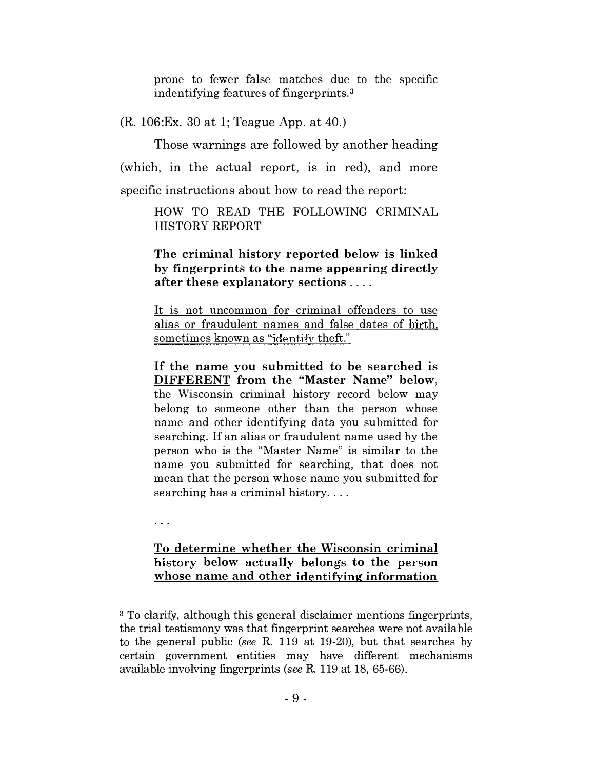prone to fewer false matches due to the specific indentifying features of fingerprints. <sup>3</sup>

(R. 106:Ex. 30 at 1; Teague App. at 40.)

Those warnings are followed by another heading (which, in the actual report, is in red), and more specific instructions about how to read the report:

> HOW TO READ THE FOLLOWING CRIMINAL HISTORY REPORT

> The criminal history reported below is linked by fingerprints to the name appearing directly after these explanatory sections ....

> It is not uncommon for criminal offenders to use alias or fraudulent names and false dates of birth, sometimes known as "identify theft."

> If the name you submitted to be searched is DIFFERENT from the "Master Name" below, the Wisconsin criminal history record below may belong to someone other than the person whose name and other identifying data you submitted for searching. If an alias or fraudulent name used by the person who is the "Master Name" is similar to the name you submitted for searching, that does not mean that the person whose name you submitted for searching has a criminal history....

 $\ddotsc$ 

To determine whether the Wisconsin criminal history below actually belongs to the person whose name and other identifying information

<sup>&</sup>lt;sup>3</sup> To clarify, although this general disclaimer mentions fingerprints, the trial testismony was that fingerprint searches were not available to the general public (see R. 119 at 19-20), but that searches by certain government entities may have different mechanisms available involving fingerprints (see R. 119 at 18, 65-66).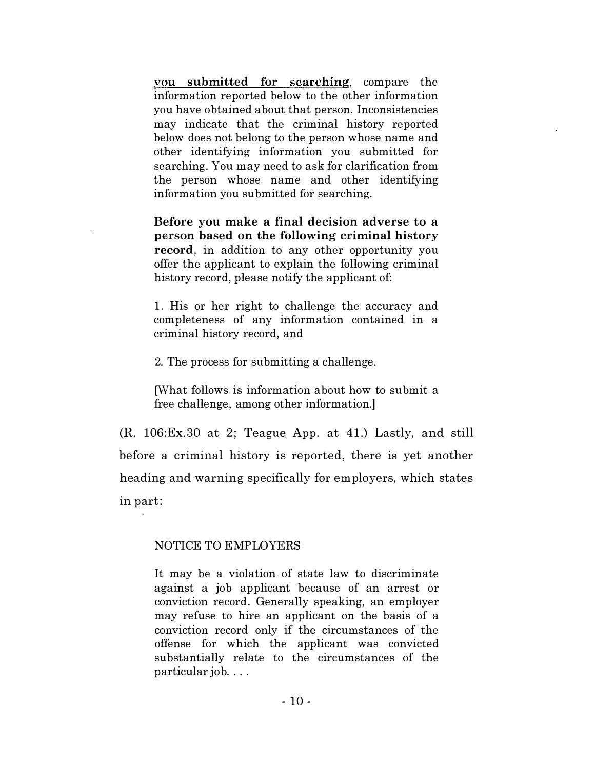vou submitted for searching, compare the information reported below to the other information you have obtained about that person. Inconsistencies may indicate that the criminal history reported below does not belong to the person whose name and other identifYing information you submitted for searching. You may need to ask for clarification from the person whose name and other identifying information you submitted for searching.

Before you make a final decision adverse to a person based on the following criminal history record, in addition to any other opportunity you offer the applicant to explain the following criminal history record, please notify the applicant of:

1. His or her right to challenge the accuracy and completeness of any information contained in a criminal history record, and

2. The process for submitting a challenge.

[What follows is information about how to submit a free challenge, among other information.]

(R. 106:Ex.30 at 2; Teague App. at 41.) Lastly, and still before a criminal history is reported, there is yet another heading and warning specifically for employers, which states in part:

#### NOTICE TO EMPLOYERS

It may be a violation of state law to discriminate against a job applicant because of an arrest or conviction record. Generally speaking, an employer may refuse to hire an applicant on the basis of a conviction record only if the circumstances of the offense for which the applicant was convicted substantially relate to the circumstances of the particular job....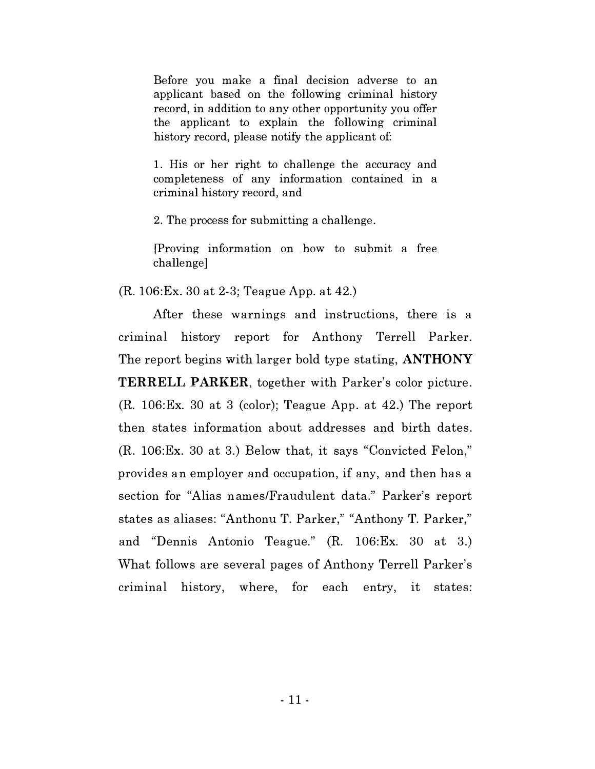Before you make a final decision adverse to an applicant based on the following criminal history record, in addition to any other opportunity you offer the applicant to explain the following criminal history record, please notify the applicant of:

1. His or her right to challenge the accuracy and completeness of any information contained in a criminal history record, and

2. The process for submitting a challenge.

[Proving information on how to submit a free challenge]

(R. 106:Ex. 30 at 2-3; Teague App. at 42.)

After these warnings and instructions, there is a criminal history report for Anthony Terrell Parker. The report begins with larger bold type stating, ANTHONY TERRELL PARKER, together with Parker's color picture. (R. 106:Ex. 30 at 3 (color); Teague App. at 42.) The report then states information about addresses and birth dates. (R. 106:Ex. 30 at 3.) Below that, it says "Convicted Felon," provides an employer and occupation, if any, and then has a section for "Alias n ames/Fraudulent data." Parker's report states as aliases: "Anthonu T. Parker," "Anthony T. Parker," and "Dennis Antonio Teague." (R. 106:Ex. 30 at 3.) What follows are several pages of Anthony Terrell Parker's criminal history, where, for each entry, it states: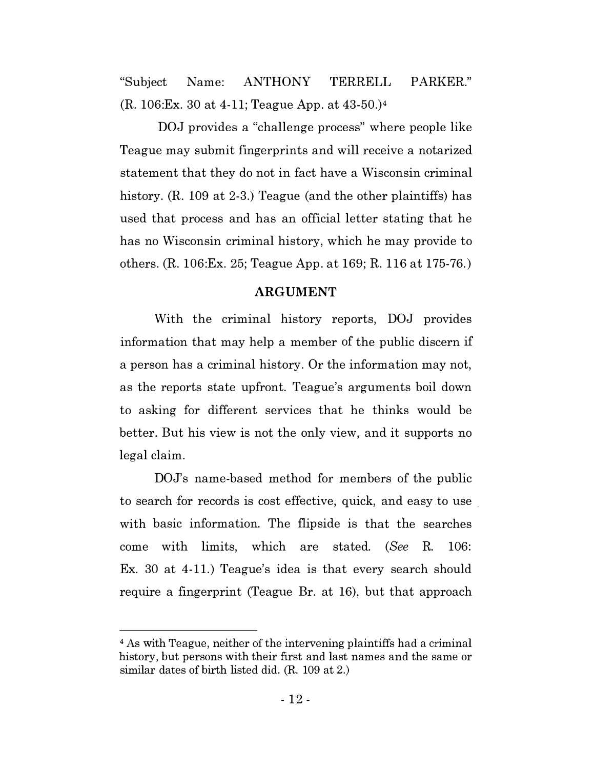"Subject Name: ANTHONY TERRELL PARKER." (R. 106:Ex. 30 at 4-11; Teague App. at 43-50.)4

DOJ provides a "challenge process" where people like Teague may submit fingerprints and will receive a notarized statement that they do not in fact have a Wisconsin criminal history. (R. 109 at 2-3.) Teague (and the other plaintiffs) has used that process and has an official letter stating that he has no Wisconsin criminal history, which he may provide to others. (R. 106:Ex. 25; Teague App. at 169; R. 116 at 175-76.)

#### ARGUMENT

With the criminal history reports, DOJ provides information that may help a member of the public discern if a person has a criminal history. Or the information may not, as the reports state upfront. Teague's arguments boil down to asking for different services that he thinks would be better. But his view is not the only view, and it supports no legal claim.

DOJ's name-based method for members of the public to search for records is cost effective, quick, and easy to use with basic information. The flipside is that the searches come with limits, which are stated. (See R. 106: Ex. 30 at 4-11.) Teague's idea is that every search should require a fingerprint (Teague Br. at 16), but that approach

<sup>4</sup> As with Teague, neither of the intervening plaintiffs had a criminal history, but persons with their first and last names and the same or similar dates of birth listed did. (R. 109 at 2.)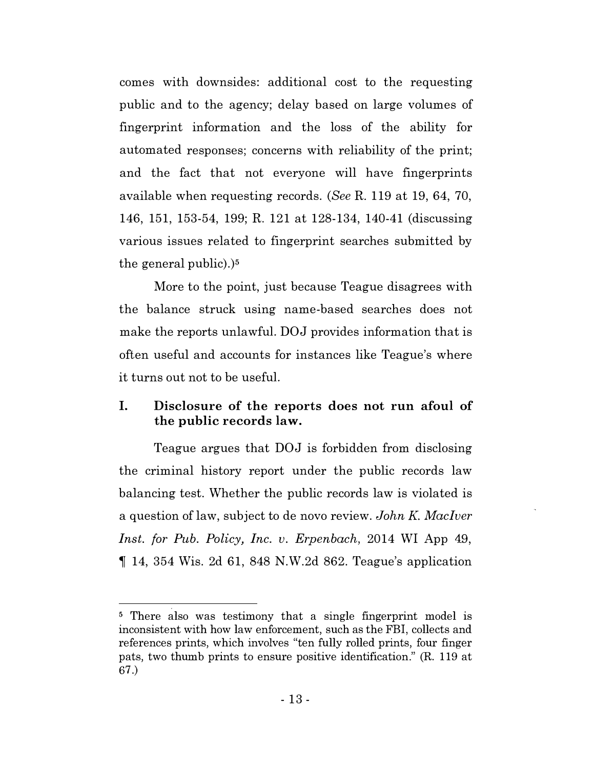comes with downsides: additional cost to the requesting public and to the agency; delay based on large volumes of fingerprint information and the loss of the ability for automated responses; concerns with reliability of the print; and the fact that not everyone will have fingerprints available when requesting records. (See R. 119 at 19, 64, 70, 146, 151, 153-54, 199; R. 121 at 128-134, 140-41 (discussing various issues related to fingerprint searches submitted by the general public).)<sup>5</sup>

More to the point, just because Teague disagrees with the balance struck using name-based searches does not make the reports unlawful. DOJ provides information that is often useful and accounts for instances like Teague's where it turns out not to be usefuL

# I. Disclosure of the reports does not run afoul of the public records law.

Teague argues that DOJ is forbidden from disclosing the criminal history report under the public records law balancing test. Whether the public records law is violated is a question of law, subject to de novo review. John K. MacIver Inst. for Pub. Policy, Inc. v. Erpenbach, 2014 WI App 49,  $\parallel$  14, 354 Wis. 2d 61, 848 N.W. 2d 862. Teague's application

<sup>&</sup>lt;sup>5</sup> There also was testimony that a single fingerprint model is inconsistent with how law enforcement, such as the FBI, collects and references prints, which involves "ten fully rolled prints, four finger pats, two thumb prints to ensure positive identification." (R. 119 at 67.)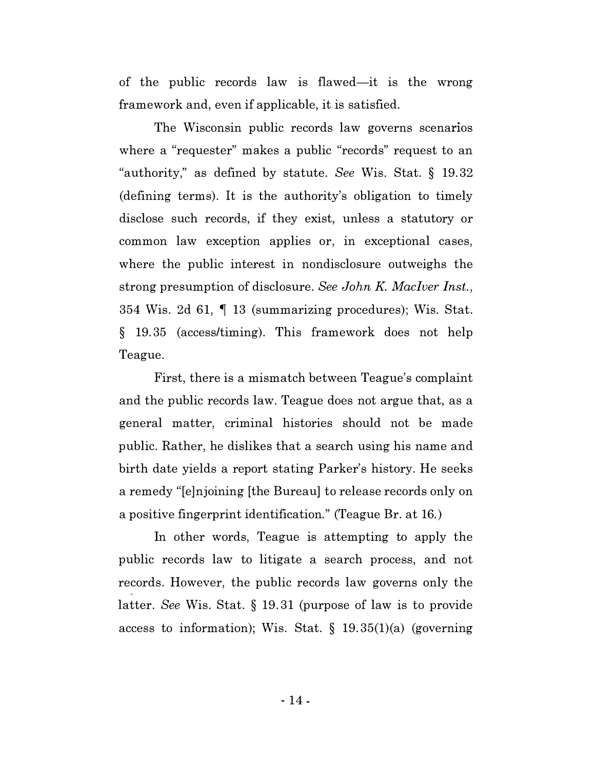of the public records law is flawed—it is the wrong framework and, even if applicable, it is satisfied.

The Wisconsin public records law governs scenarios where a "requester" makes a public "records" request to an "authority," as defined by statute. See Wis. Stat. § 19.32 (defining terms). It is the authority's obligation to timely disclose such records, if they exist, unless a statutory or common law exception applies or, in exceptional cases, where the public interest in nondisclosure outweighs the strong presumption of disclosure. See John K. MacIver Inst., 354 Wis. 2d 61, � 13 (summarizing procedures); Wis. Stat. § 19.35 (access/timing). This framework does not help Teague.

First, there is a mismatch between Teague's complaint and the public records law. Teague does not argue that, as a general matter, criminal histories should not be made public. Rather, he dislikes that a search using his name and birth date yields a report stating Parker's history. He seeks a remedy "[e]njoining [the Bureau] to release records only on a positive fingerprint identification." (Teague Br. at 16.)

In other words, Teague is attempting to apply the public records law to litigate a search process, and not records. However, the public records law governs only the latter. See Wis. Stat. § 19.31 (purpose of law is to provide access to information); Wis. Stat.  $\S$  19.35(1)(a) (governing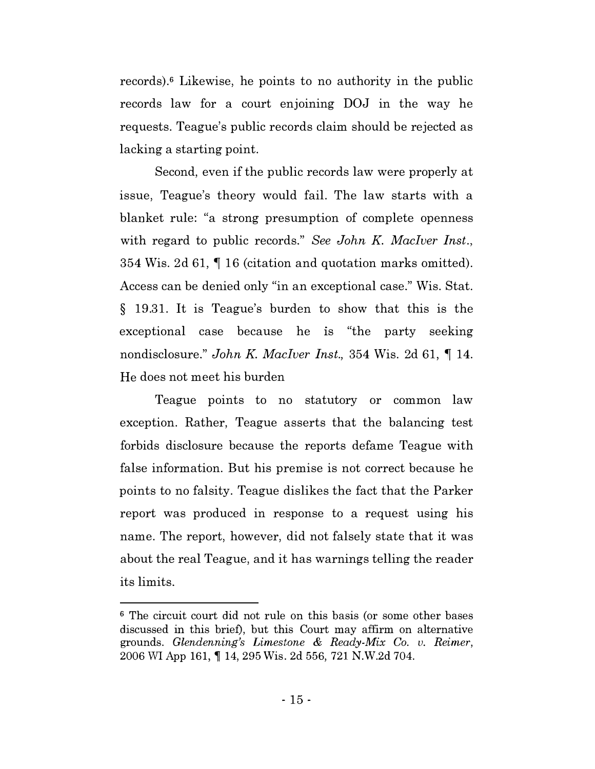records).6 Likewise, he points to no authority in the public records law for a court enjoining DOJ in the way he requests. Teague's public records claim should be rejected as lacking a starting point.

Second, even if the public records law were properly at issue, Teague's theory would fail. The law starts with a blanket rule: "a strong presumption of complete openness with regard to public records." See John K. MacIver Inst., 354 Wis. 2d 61, � 16 (citation and quotation marks omitted). Access can be denied only "in an exceptional case." Wis. Stat. § 19.31. It is Teague's burden to show that this is the exceptional case because he is "the party seeking" nondisclosure." John K. MacIver Inst., 354 Wis. 2d 61,  $\P$  14. He does not meet his burden

Teague points to no statutory or common law exception. Rather, Teague asserts that the balancing test forbids disclosure because the reports defame Teague with false information. But his premise is not correct because he points to no falsity. Teague dislikes the fact that the Parker report was produced in response to a request using his name. The report, however, did not falsely state that it was about the real Teague, and it has warnings telling the reader its limits.

<sup>6</sup> The circuit court did not rule on this basis (or some other bases discussed in this brief), but this Court may affirm on alternative grounds. Glendenning's Limestone  $\&$  Ready-Mix Co. v. Reimer, 2006 WI App 161, � 14, 295 Wis. 2d 556, 721 N.W.2d 704.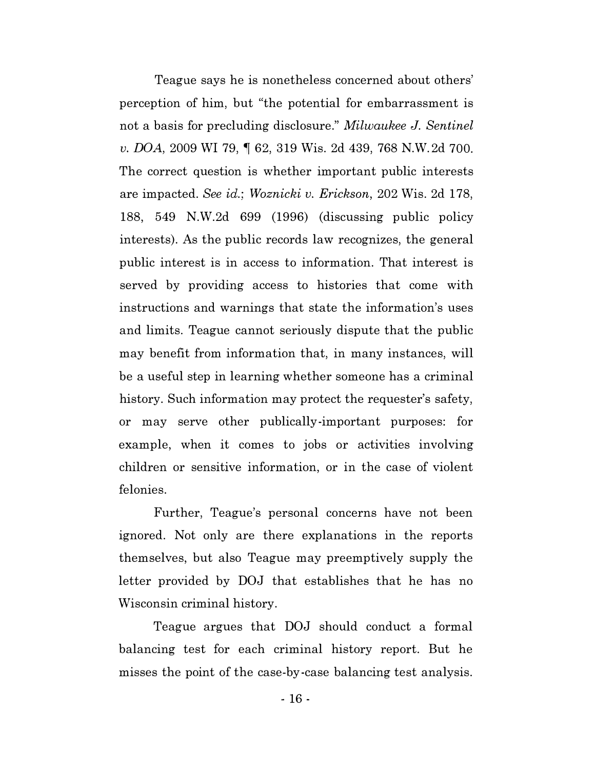Teague says he is nonetheless concerned about others' perception of him, but "the potential for embarrassment is not a basis for precluding disclosure." Milwaukee J. Sentinel v. DOA, 2009 WI 79, � 62, 319 Wis. 2d 439, 768 N.W.2d 700. The correct question is whether important public interests are impacted. See id.; Woznicki v. Erickson, 202 Wis. 2d 178, 188, 549 N.W.2d 699 (1996) (discussing public policy interests). As the public records law recognizes, the general public interest is in access to information. That interest is served by providing access to histories that come with instructions and warnings that state the information's uses and limits. Teague cannot seriously dispute that the public may benefit from information that, in many instances, will be a useful step in learning whether someone has a criminal history. Such information may protect the requester's safety, or may serve other publically-important purposes: for example, when it comes to jobs or activities involving children or sensitive information, or in the case of violent felonies.

Further, Teague's personal concerns have not been ignored. Not only are there explanations in the reports themselves, but also Teague may preemptively supply the letter provided by DOJ that establishes that he has no Wisconsin criminal history.

Teague argues that DOJ should conduct a formal balancing test for each criminal history report. But he misses the point of the case-by-case balancing test analysis.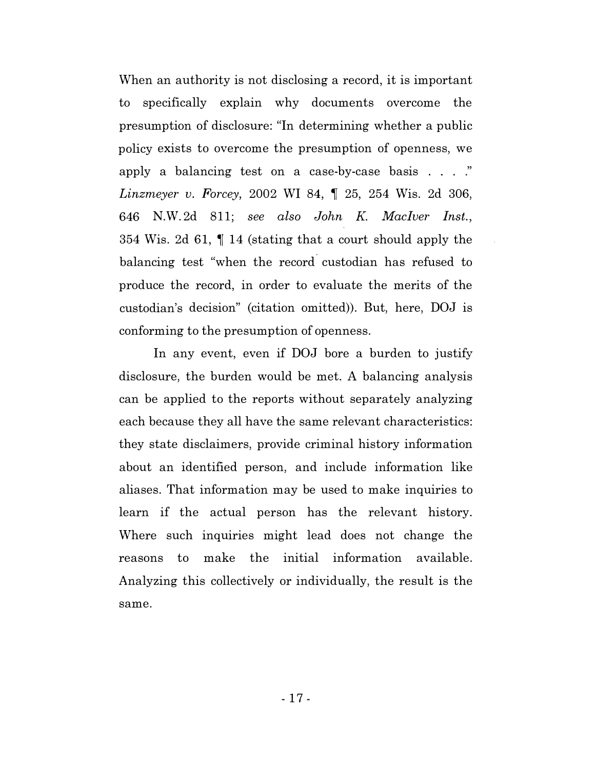When an authority is not disclosing a record, it is important to specifically explain why documents overcome the presumption of disclosure: "In determining whether a public policy exists to overcome the presumption of openness, we apply a balancing test on a case-by-case basis  $\ldots$  ." *Linzmeyer v. Forcey, 2002 WI 84,*  $\parallel$  *25, 254 Wis. 2d 306,* 646 N.W.2d 811; see also John K. MacIver Inst., 354 Wis. 2d 61,  $\parallel$  14 (stating that a court should apply the balancing test "when the record custodian has refused to produce the record, in order to evaluate the merits of the custodian's decision" (citation omitted)). But, here, DOJ is conforming to the presumption of openness.

In any event, even if DOJ bore a burden to justify disclosure, the burden would be met. A balancing analysis can be applied to the reports without separately analyzing each because they all have the same relevant characteristics: they state disclaimers, provide criminal history information about an identified person, and include information like aliases. That information may be used to make inquiries to learn if the actual person has the relevant history. Where such inquiries might lead does not change the reasons to make the initial information available. Analyzing this collectively or individually, the result is the same.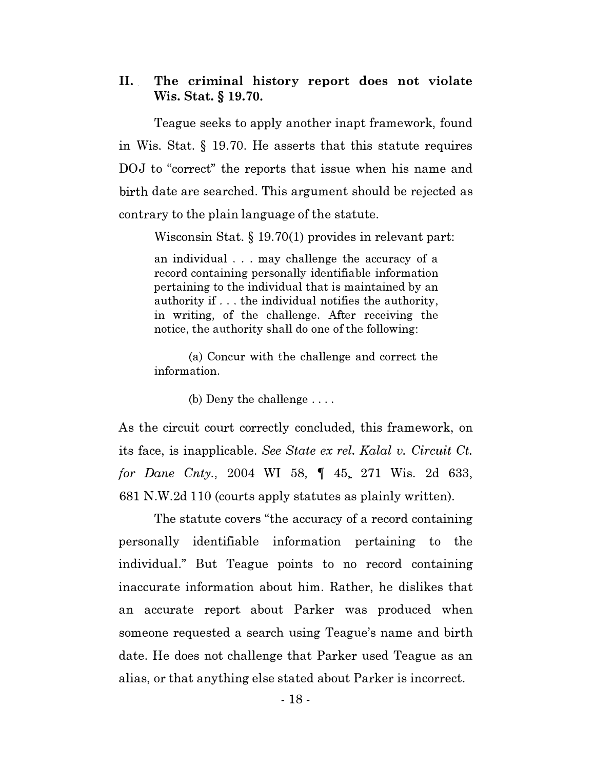## II. The criminal history report does not violate Wis. Stat. § 19. 70.

Teague seeks to apply another inapt framework, found in Wis. Stat.  $\S$  19.70. He asserts that this statute requires DOJ to "correct" the reports that issue when his name and birth date are searched. This argument should be rejected as contrary to the plain language of the statute.

Wisconsin Stat. § 19. 70(1) provides in relevant part:

an individual . . . may challenge the accuracy of a record containing personally identifiable information pertaining to the individual that is maintained by an authority if .. . the individual notifies the authority, in writing, of the challenge. After receiving the notice, the authority shall do one of the following:

(a) Concur with the challenge and correct the information.

(b) Deny the challenge ....

As the circuit court correctly concluded, this framework, on its face, is inapplicable. See State ex rel. Kalal v. Circuit Ct. for Dane Cnty., 2004 WI 58,  $\parallel$  45, 271 Wis. 2d 633, 681 N.W.2d llO (courts apply statutes as plainly written).

The statute covers "the accuracy of a record containing personally identifiable information pertaining to the individual." But Teague points to no record containing inaccurate information about him. Rather, he dislikes that an accurate report about Parker was produced when someone requested a search using Teague's name and birth date. He does not challenge that Parker used Teague as an alias, or that anything else stated about Parker is incorrect.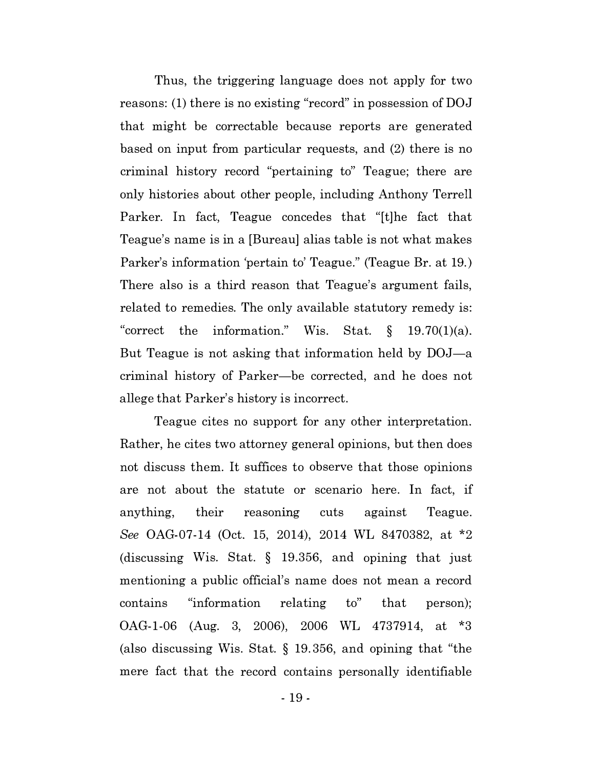Thus, the triggering language does not apply for two reasons: (1) there is no existing "record" in possession of DOJ that might be correctable because reports are generated based on input from particular requests, and (2) there is no criminal history record "pertaining to" Teague; there are only histories about other people, including Anthony Terrell Parker. In fact, Teague concedes that "[t]he fact that Teague's name is in a [Bureau] alias table is not what makes Parker's information 'pertain to' Teague." (Teague Br. at 19.) There also is a third reason that Teague's argument fails, related to remedies. The only available statutory remedy is: "correct the information." Wis. Stat.  $\S$  19.70(1)(a). But Teague is not asking that information held by DOJ—a criminal history of Parker-be corrected, and he does not allege that Parker's history is incorrect.

Teague cites no support for any other interpretation. Rather, he cites two attorney general opinions, but then does not discuss them. It suffices to observe that those opinions are not about the statute or scenario here. In fact, if anything, their reasoning cuts against Teague. See OAG-07-14 (Oct. 15, 2014), 2014 WL 8470382, at \*2 (discussing Wis. Stat. § 19.356, and opining that just mentioning a public official's name does not mean a record contains "information relating to" that person); OAG -1-06 (Aug. 3, 2006), 2006 WL 4737914, at \*3 (also discussing Wis. Stat. § 19.356, and opining that "the mere fact that the record contains personally identifiable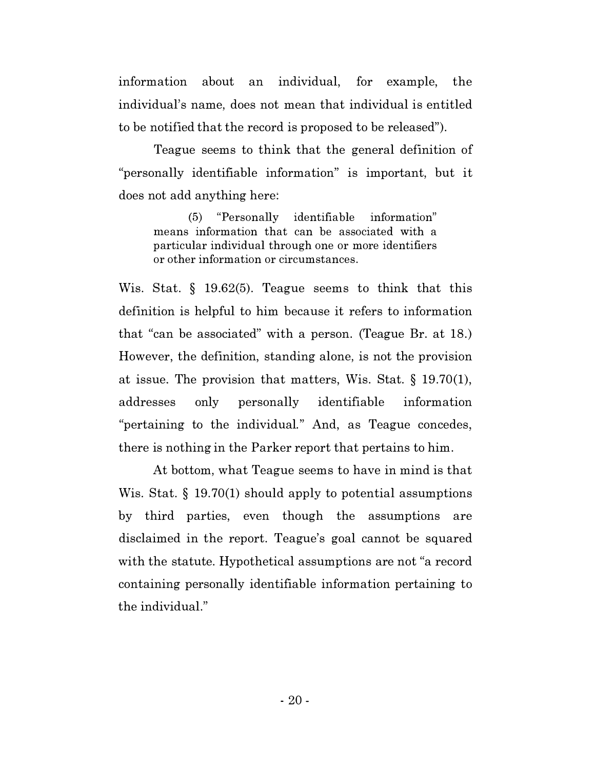information about an individual, for example, the individual's name, does not mean that individual is entitled to be notified that the record is proposed to be released").

Teague seems to think that the general definition of "personally identifiable information" is important, but it does not add anything here:

(5) "Personally identifiable information" means information that can be associated with a particular individual through one or more identifiers or other information or circumstances.

Wis. Stat. § 19.62(5). Teague seems to think that this definition is helpful to him because it refers to information that "can be associated" with a person. (Teague Br. at 18.) However, the definition, standing alone, is not the provision at issue. The provision that matters, Wis. Stat. § 19.70(1), addresses only personally identifiable information "pertaining to the individual." And, as Teague concedes, there is nothing in the Parker report that pertains to him.

At bottom, what Teague seems to have in mind is that Wis. Stat. § 19.70(1) should apply to potential assumptions by third parties, even though the assumptions are disclaimed in the report. Teague's goal cannot be squared with the statute. Hypothetical assumptions are not "a record containing personally identifiable information pertaining to the individual."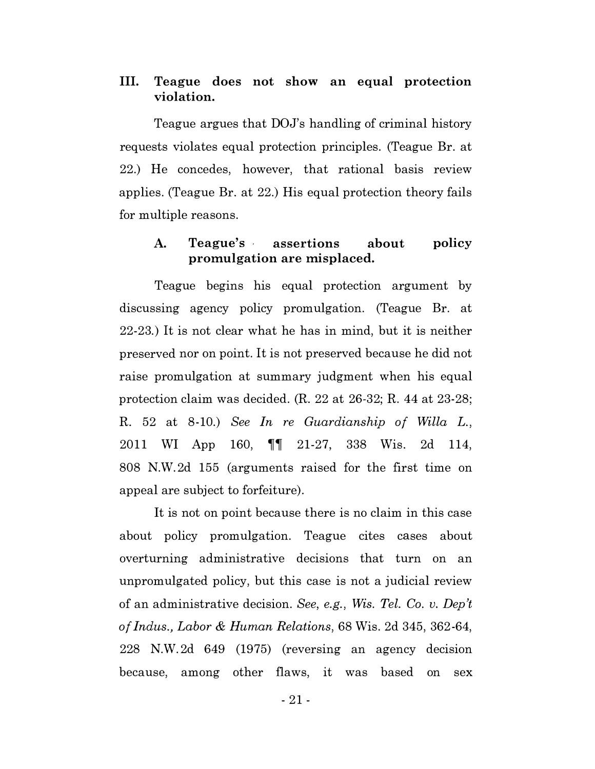## III. Teague does not show an equal protection violation.

Teague argues that DOJ's handling of criminal history requests violates equal protection principles. (Teague Br. at 22.) He concedes, however, that rational basis review applies. (Teague Br. at 22.) His equal protection theory fails for multiple reasons.

#### A. Teague's assertions about promulgation are misplaced. policy

Teague begins his equal protection argument by discussing agency policy promulgation. (Teague Br. at 22-23.) It is not clear what he has in mind, but it is neither preserved nor on point. It is not preserved because he did not raise promulgation at summary judgment when his equal protection claim was decided. (R. 22 at 26-32; R. 44 at 23-28; R. 52 at 8-10.) See In re Guardianship of Willa L., 2011 WI App 160, **11** 21-27, 338 Wis. 2d 114, 808 N.W.2d 155 (arguments raised for the first time on appeal are subject to forfeiture).

It is not on point because there is no claim in this case about policy promulgation. Teague cites cases about overturning administrative decisions that turn on an unpromulgated policy, but this case is not a judicial review of an administrative decision. See, e.g., Wis. Tel. Co. v. Dep't of Indus., Labor & Human Relations, 68 Wis. 2d 345, 362-64, 228 N.W.2d 649 (1975) (reversing an agency decision because, among other flaws, it was based on sex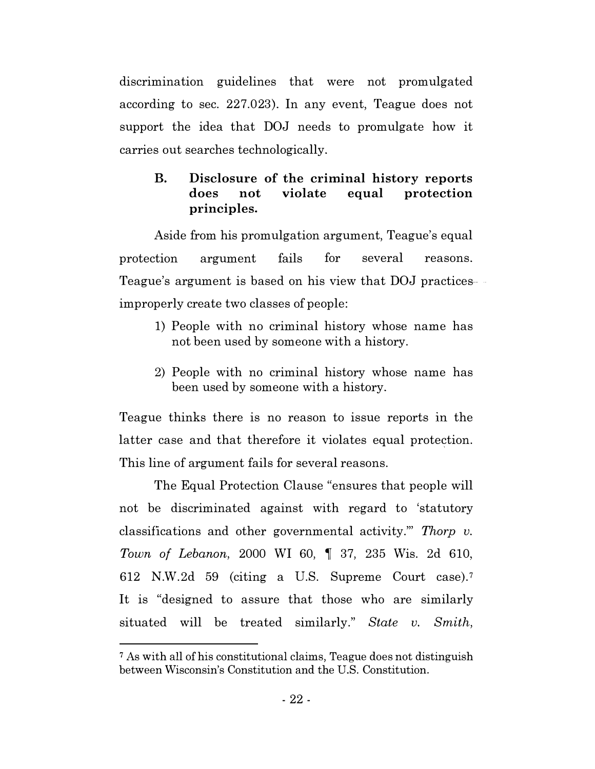discrimination guidelines that were not promulgated according to sec. 227.023). In any event, Teague does not support the idea that DOJ needs to promulgate how it carries out searches technologically.

# B. Disclosure of the criminal history reports does not violate equal protection principles.

Aside from his promulgation argument, Teague's equal protection argument fails for several reasons. Teague's argument is based on his view that DOJ practices improperly create two classes of people:

- 1) People with no criminal history whose name has not been used by someone with a history.
- 2) People with no criminal history whose name has been used by someone with a history.

Teague thinks there is no reason to issue reports in the latter case and that therefore it violates equal protection. This line of argument fails for several reasons.

The Equal Protection Clause "ensures that people will not be discriminated against with regard to 'statutory classifications and other governmental activity." Thorp  $v$ . Town of Lebanon, 2000 WI 60, 1 37, 235 Wis. 2d 610, 612 N.W.2d 59 (citing a U.S. Supreme Court case).7 It is "designed to assure that those who are similarly situated will be treated similarly." State v. Smith,

<sup>7</sup>As with all of his constitutional claims, Teague does not distinguish between Wisconsin's Constitution and the U.S. Constitution.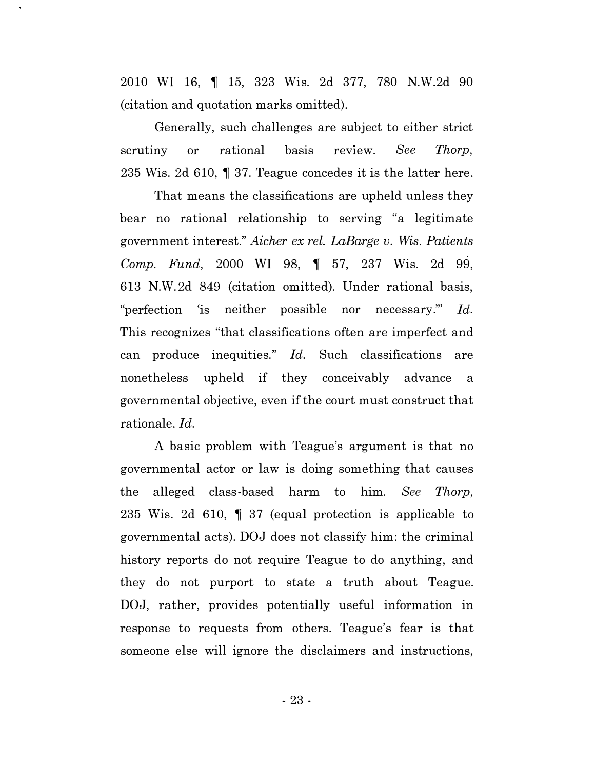2010 WI 16, 1 15, 323 Wis. 2d 377, 780 N.W.2d 90 (citation and quotation marks omitted).

Generally, such challenges are subject to either strict scrutiny or rational basis review. See Thorp, 235 Wis. 2d 610,  $\parallel$  37. Teague concedes it is the latter here.

That means the classifications are upheld unless they bear no rational relationship to serving "a legitimate government interest." Aicher ex rel. LaBarge v. Wis. Patients Comp. Fund, 2000 WI 98,  $\parallel$  57, 237 Wis. 2d 99, 613 N.W.2d 849 (citation omitted). Under rational basis, "perfection is neither possible nor necessary." Id. This recognizes "that classifications often are imperfect and can produce inequities."  $Id$ . Such classifications are nonetheless upheld if they conceivably advance a governmental objective, even if the court must construct that rationale. Id.

A basic problem with Teague's argument is that no governmental actor or law is doing something that causes the alleged class-based harm to him. See Thorp, 235 Wis. 2d 610,  $\parallel$  37 (equal protection is applicable to governmental acts). DOJ does not classify him: the criminal history reports do not require Teague to do anything, and they do not purport to state a truth about Teague. DOJ, rather, provides potentially useful information in response to requests from others. Teague's fear is that someone else will ignore the disclaimers and instructions,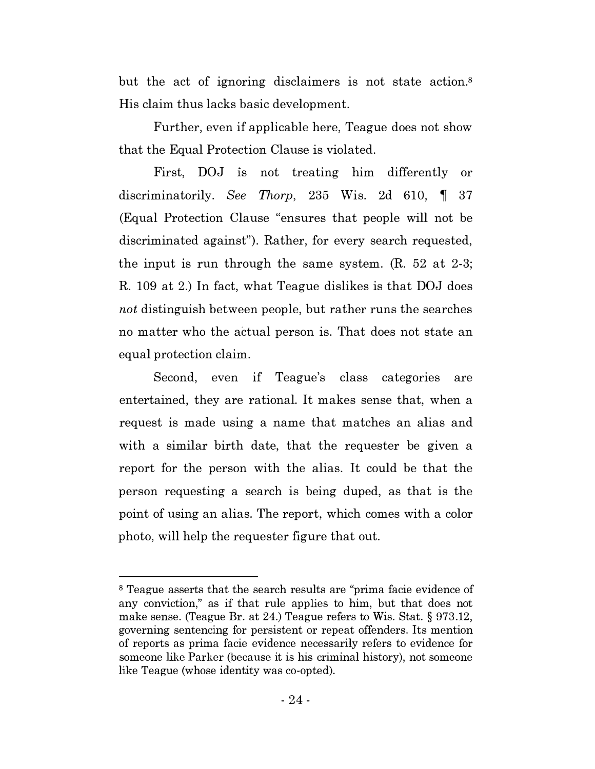but the act of ignoring disclaimers is not state action.<sup>8</sup> His claim thus lacks basic development.

Further, even if applicable here, Teague does not show that the Equal Protection Clause is violated.

First, DOJ is not treating him differently or discriminatorily. See Thorp, 235 Wis. 2d 610,  $\parallel$  37 (Equal Protection Clause "ensures that people will not be discriminated against"). Rather, for every search requested, the input is run through the same system. (R. 52 at 2-3; R. 109 at 2.) In fact, what Teague dislikes is that DOJ does not distinguish between people, but rather runs the searches no matter who the actual person is. That does not state an equal protection claim.

Second, even if Teague's class categories are entertained, they are rational. It makes sense that, when a request is made using a name that matches an alias and with a similar birth date, that the requester be given a report for the person with the alias. It could be that the person requesting a search is being duped, as that is the point of using an alias. The report, which comes with a color photo, will help the requester figure that out.

<sup>&</sup>lt;sup>8</sup> Teague asserts that the search results are "prima facie evidence of any conviction," as if that rule applies to him, but that does not make sense. (Teague Br. at 24.) Teague refers to Wis. Stat.§ 973.12, governing sentencing for persistent or repeat offenders. Its mention of reports as prima facie evidence necessarily refers to evidence for someone like Parker (because it is his criminal history), not someone like Teague (whose identity was co-opted).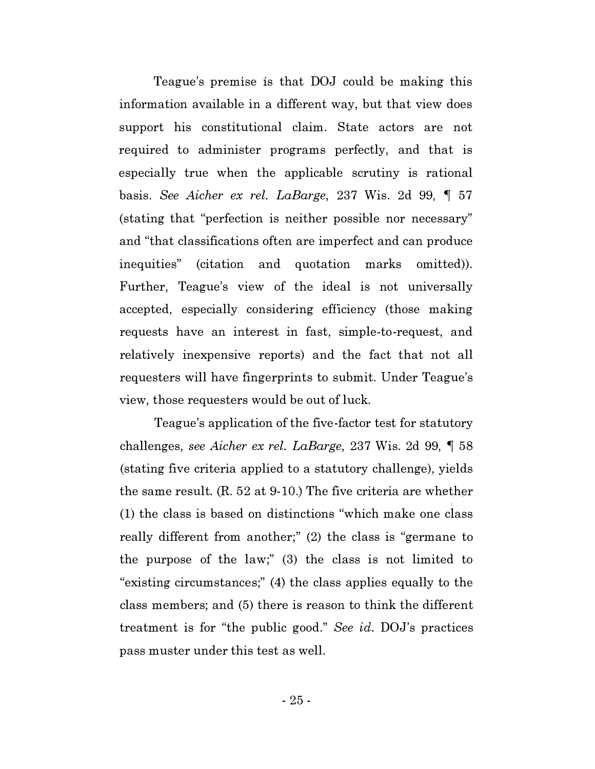Teague's premise is that DOJ could be making this information available in a different way, but that view does support his constitutional claim. State actors are not required to administer programs perfectly, and that is especially true when the applicable scrutiny is rational basis. See Aicher ex rel. LaBarge, 237 Wis. 2d 99,  $\parallel$  57 (stating that "perfection is neither possible nor necessary" and "that classifications often are imperfect and can produce inequities" (citation and quotation marks omitted)). Further, Teague's view of the ideal is not universally accepted, especially considering efficiency (those making requests have an interest in fast, simple-to-request, and relatively inexpensive reports) and the fact that not all requesters will have fingerprints to submit. Under Teague's view, those requesters would be out of luck.

Teague's application of the five-factor test for statutory challenges, see Aicher ex rel. LaBarge, 237 Wis. 2d 99,  $\parallel$  58 (stating five criteria applied to a statutory challenge), yields the same result. (R. 52 at 9-10.) The five criteria are whether (1) the class is based on distinctions "which make one class really different from another;" (2) the class is "germane to the purpose of the law;" (3) the class is not limited to "existing circumstances;" (4) the class applies equally to the class members; and (5) there is reason to think the different treatment is for "the public good." See id. DOJ's practices pass muster under this test as well.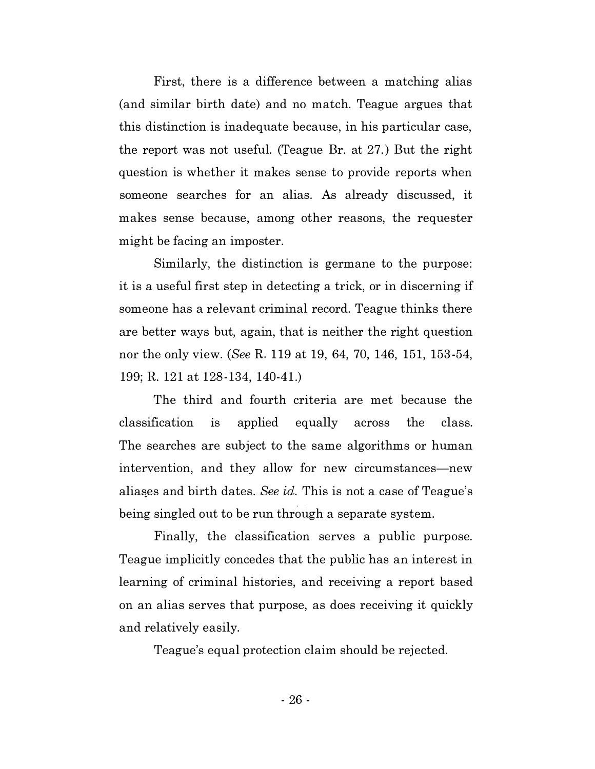First, there is a difference between a matching alias (and similar birth date) and no match. Teague argues that this distinction is inadequate because, in his particular case, the report was not useful. (Teague Br. at 27.) But the right question is whether it makes sense to provide reports when someone searches for an alias. As already discussed, it makes sense because, among other reasons, the requester might be facing an imposter.

Similarly, the distinction is germane to the purpose: it is a useful first step in detecting a trick, or in discerning if someone has a relevant criminal record. Teague thinks there are better ways but, again, that is neither the right question nor the only view. (See R. 119 at 19, 64, 70, 146, 151, 153-54, 199; R. 121 at 128-134, 140-41.)

The third and fourth criteria are met because the classification 1s applied equally across the class. The searches are subject to the same algorithms or human intervention, and they allow for new circumstances—new aliases and birth dates. See id. This is not a case of Teague's being singled out to be run through a separate system.

Finally, the classification serves a public purpose. Teague implicitly concedes that the public has an interest in learning of criminal histories, and receiving a report based on an alias serves that purpose, as does receiving it quickly and relatively easily.

Teague's equal protection claim should be rejected.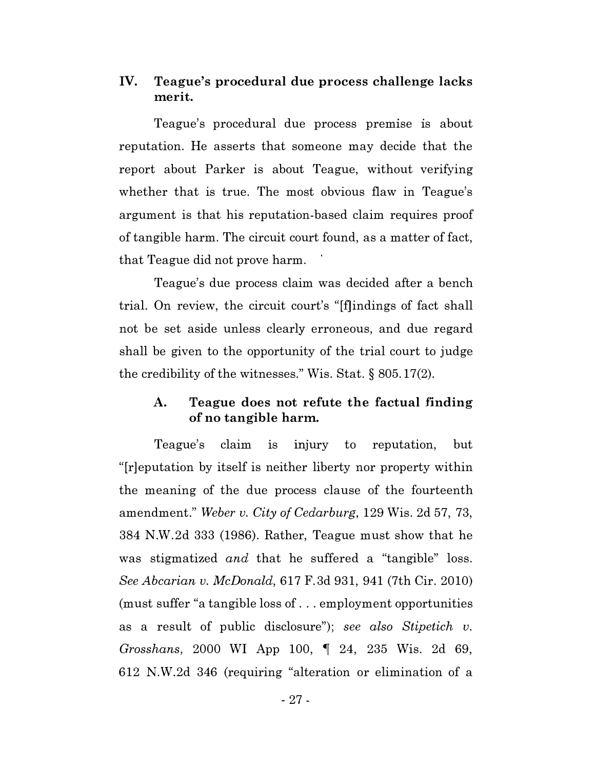# IV. Teague's procedural due process challenge lacks merit.

Teague's procedural due process premise is about reputation. He asserts that someone may decide that the report about Parker is about Teague, without verifying whether that is true. The most obvious flaw in Teague's argument is that his reputation-based claim requires proof of tangible harm. The circuit court found, as a matter of fact, that Teague did not prove harm.

Teague's due process claim was decided after a bench trial. On review, the circuit court's "[f]indings of fact shall not be set aside unless clearly erroneous, and due regard shall be given to the opportunity of the trial court to judge the credibility of the witnesses." Wis. Stat.§ 805.17(2).

# A. Teague does not refute the factual finding of no tangible harm.

Teague's claim is injury to reputation, but "[r]eputation by itself is neither liberty nor property within the meaning of the due process clause of the fourteenth amendment." Weber v. City of Cedarburg, 129 Wis. 2d 57, 73, 384 N.W.2d 333 (1986). Rather, Teague must show that he was stigmatized and that he suffered a "tangible" loss. See Abcarian v. McDonald, 617 F.3d 931, 941 (7th Cir. 2010) (must suffer "a tangible loss of ... employment opportunities as a result of public disclosure"); see also Stipetich v. Grosshans, 2000 WI App 100,  $\parallel$  24, 235 Wis. 2d 69, 612 N.W.2d 346 (requiring "alteration or elimination of a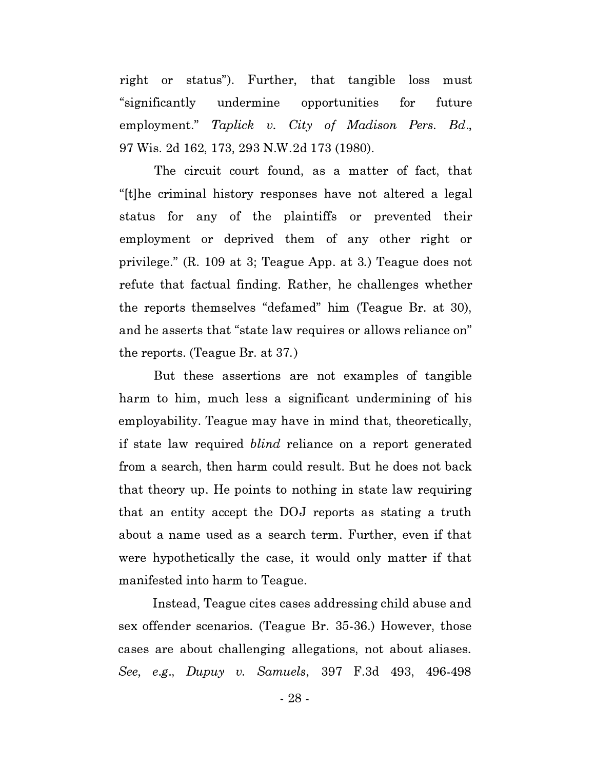right or status"). Further, that tangible loss must "significantly undermine opportunities for future employment." Taplick v. City of Madison Pers. Bd., 97 Wis. 2d 162, 173, 293 N.W.2d 173 (1980).

The circuit court found, as a matter of fact, that "[t]he criminal history responses have not altered a legal status for any of the plaintiffs or prevented their employment or deprived them of any other right or privilege." (R. 109 at 3; Teague App. at 3.) Teague does not refute that factual finding. Rather, he challenges whether the reports themselves "defamed" him (Teague Br. at 30), and he asserts that "state law requires or allows reliance on" the reports. (Teague Br. at 37.)

But these assertions are not examples of tangible harm to him, much less a significant undermining of his employability. Teague may have in mind that, theoretically, if state law required blind reliance on a report generated from a search, then harm could result. But he does not back that theory up. He points to nothing in state law requiring that an entity accept the DOJ reports as stating a truth about a name used as a search term. Further, even if that were hypothetically the case, it would only matter if that manifested into harm to Teague.

Instead, Teague cites cases addressing child abuse and sex offender scenarios. (Teague Br. 35-36.) However, those cases are about challenging allegations, not about aliases. See, e.g., Dupuy v. Samuels, 397 F.3d 493, 496-498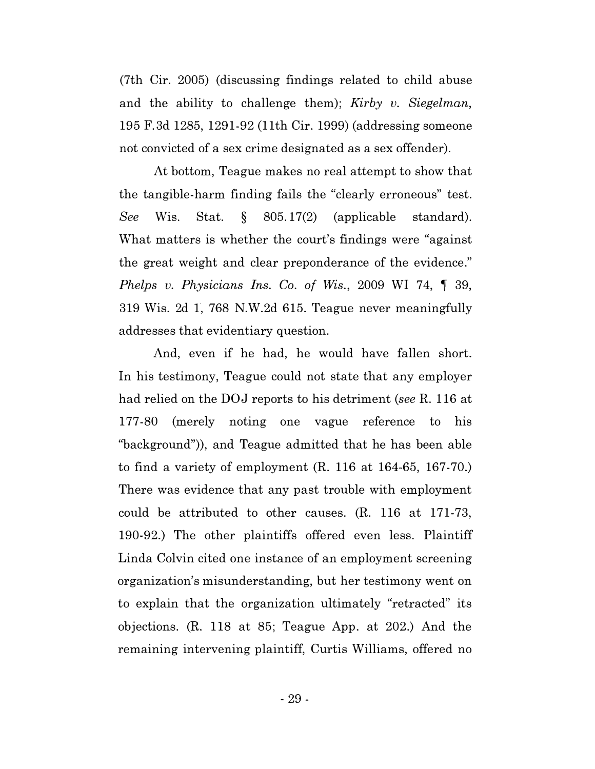(7th Cir. 2005) (discussing findings related to child abuse and the ability to challenge them); Kirby  $v$ . Siegelman, 195 F.3d 1285, 1291-92 (11th Cir. 1999) (addressing someone not convicted of a sex crime designated as a sex offender).

At bottom, Teague makes no real attempt to show that the tangible-harm finding fails the "clearly erroneous" test. See Wis. Stat. § 805.17(2) (applicable standard). What matters is whether the court's findings were "against the great weight and clear preponderance of the evidence." Phelps v. Physicians Ins. Co. of Wis., 2009 WI 74,  $\P$  39, 319 Wis. 2d l, 768 N.W.2d 615. Teague never meaningfully addresses that evidentiary question.

And, even if he had, he would have fallen short. In his testimony, Teague could not state that any employer had relied on the DOJ reports to his detriment (see R. 116 at 177-80 (merely noting one vague reference to his "background")), and Teague admitted that he has been able to find a variety of employment (R. 116 at 164-65, 167-70.) There was evidence that any past trouble with employment could be attributed to other causes. (R. 116 at 171-73, 190-92.) The other plaintiffs offered even less. Plaintiff Linda Colvin cited one instance of an employment screening organization's misunderstanding, but her testimony went on to explain that the organization ultimately "retracted" its objections. (R. 118 at 85; Teague App. at 202.) And the remaining intervening plaintiff, Curtis Williams, offered no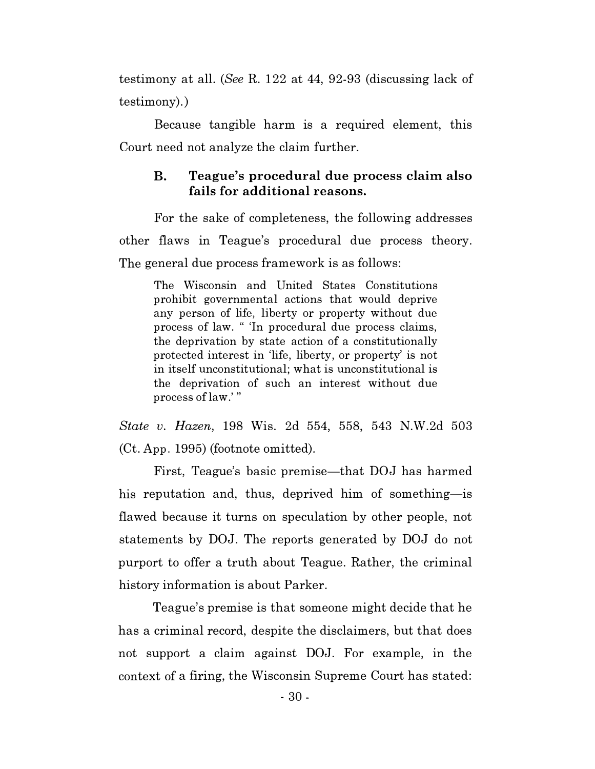testimony at all. (See R. 122 at 44, 92-93 (discussing lack of testimony).)

Because tangible harm is a required element, this Court need not analyze the claim further.

# B. Teague's procedural due process claim also fails for additional reasons.

For the sake of completeness, the following addresses other flaws in Teague's procedural due process theory. The general due process framework is as follows:

The Wisconsin and United States Constitutions prohibit governmental actions that would deprive any person of life, liberty or property without due process of law. " 'In procedural due process claims, the deprivation by state action of a constitutionally protected interest in 'life, liberty, or property' is not in itself unconstitutional; what is unconstitutional is the deprivation of such an interest without due process of law.' "

State v. Hazen, 198 Wis. 2d 554, 558, 543 N.W.2d 503 (Ct. App. 1995) (footnote omitted).

First, Teague's basic premise—that DOJ has harmed his reputation and, thus, deprived him of something-is flawed because it turns on speculation by other people, not statements by DOJ. The reports generated by DOJ do not purport to offer a truth about Teague. Rather, the criminal history information is about Parker.

Teague's premise is that someone might decide that he has a criminal record, despite the disclaimers, but that does not support a claim against DOJ. For example, in the context of a firing, the Wisconsin Supreme Court has stated: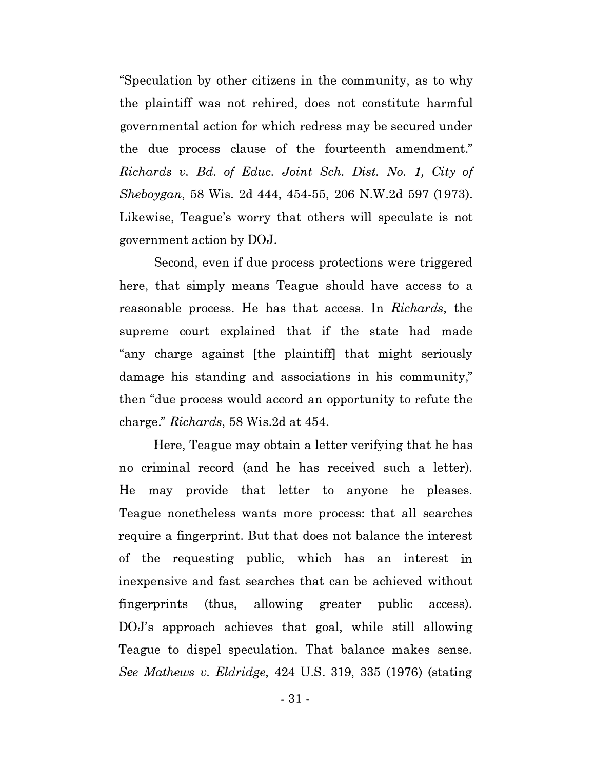"Speculation by other citizens in the community, as to why the plaintiff was not rehired, does not constitute harmful governmental action for which redress may be secured under the due process clause of the fourteenth amendment." Richards v. Bd. of Educ. Joint Sch. Dist. No. 1, City of Sheboygan, 58 Wis. 2d 444, 454-55, 206 N.W.2d 597 (1973). Likewise, Teague's worry that others will speculate is not government action by DOJ.

Second, even if due process protections were triggered here, that simply means Teague should have access to a reasonable process. He has that access. In Richards, the supreme court explained that if the state had made "any charge against [the plaintiff! that might seriously damage his standing and associations in his community," then "due process would accord an opportunity to refute the charge." Richards, 58 Wis.2d at 454.

Here, Teague may obtain a letter verifying that he has no criminal record (and he has received such a letter). He may provide that letter to anyone he pleases. Teague nonetheless wants more process: that all searches require a fingerprint. But that does not balance the interest of the requesting public, which has an interest in inexpensive and fast searches that can be achieved without fingerprints (thus, allowing greater public access). DOJ's approach achieves that goal, while still allowing Teague to dispel speculation. That balance makes sense. See Mathews v. Eldridge, 424 U.S. 319, 335 (1976) (stating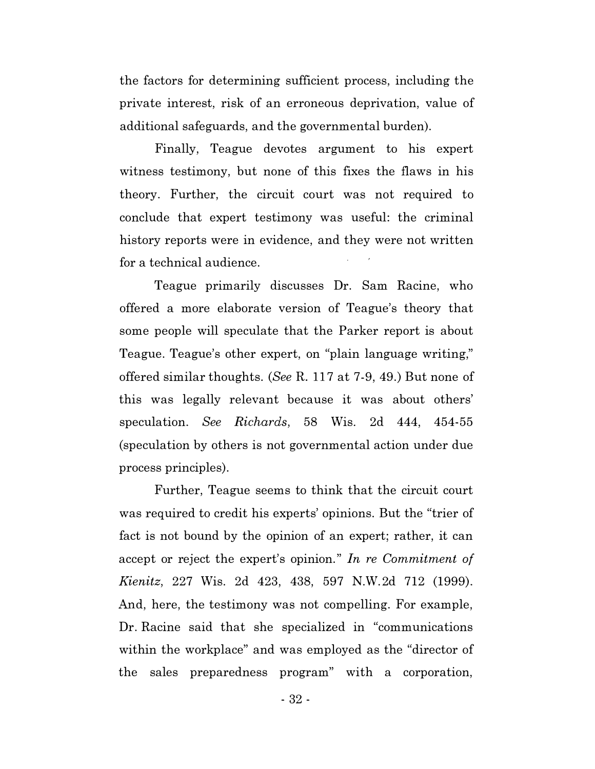the factors for determining sufficient process, including the private interest, risk of an erroneous deprivation, value of additional safeguards, and the governmental burden).

Finally, Teague devotes argument to his expert witness testimony, but none of this fixes the flaws in his theory. Further, the circuit court was not required to conclude that expert testimony was useful: the criminal history reports were in evidence, and they were not written for a technical audience.

Teague primarily discusses Dr. Sam Racine, who offered a more elaborate version of Teague's theory that some people will speculate that the Parker report is about Teague. Teague's other expert, on "plain language writing," offered similar thoughts. (SeeR. 117 at 7-9, 49.) But none of this was legally relevant because it was about others' speculation. See Richards, 58 Wis. 2d 444, 454-55 (speculation by others is not governmental action under due process principles).

Further, Teague seems to think that the circuit court was required to credit his experts' opinions. But the "trier of fact is not bound by the opinion of an expert; rather, it can accept or reject the expert's opinion." In re Commitment of Kienitz, 227 Wis. 2d 423, 438, 597 N.W.2d 712 (1999). And, here, the testimony was not compelling. For example, Dr. Racine said that she specialized in "communications within the workplace" and was employed as the "director of the sales preparedness program" with a corporation,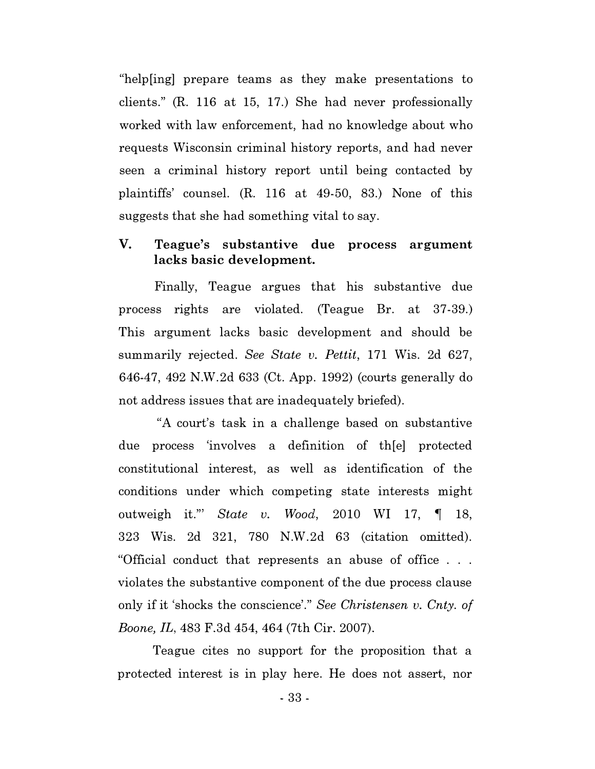"help[ing] prepare teams as they make presentations to clients." (R. 116 at 15, 17.) She had never professionally worked with law enforcement, had no knowledge about who requests Wisconsin criminal history reports, and had never seen a criminal history report until being contacted by plaintiffs' counsel. (R. 116 at 49-50, 83.) None of this suggests that she had something vital to say.

# V. Teague's substantive due process argument lacks basic development.

Finally, Teague argues that his substantive due process rights are violated. (Teague Br. at 37-39.) This argument lacks basic development and should be summarily rejected. See State v. Pettit, 171 Wis. 2d 627, 646�47, 492 N.W.2d 633 (Ct. App. 1992) (courts generally do not address issues that are inadequately briefed).

"A court's task in a challenge based on substantive due process 'involves a definition of th[e] protected constitutional interest, as well as identification of the conditions under which competing state interests might outweigh it." State v. Wood, 2010 WI 17,  $\P$  18, 323 Wis. 2d 321, 780 N.W.2d 63 (citation omitted). "Official conduct that represents an abuse of office . . . violates the substantive component of the due process clause only if it 'shocks the conscience'." See Christensen v. Cnty. of Boone, IL, 483 F.3d 454, 464 (7th Cir. 2007).

Teague cites no support for the proposition that a protected interest is in play here. He does not assert, nor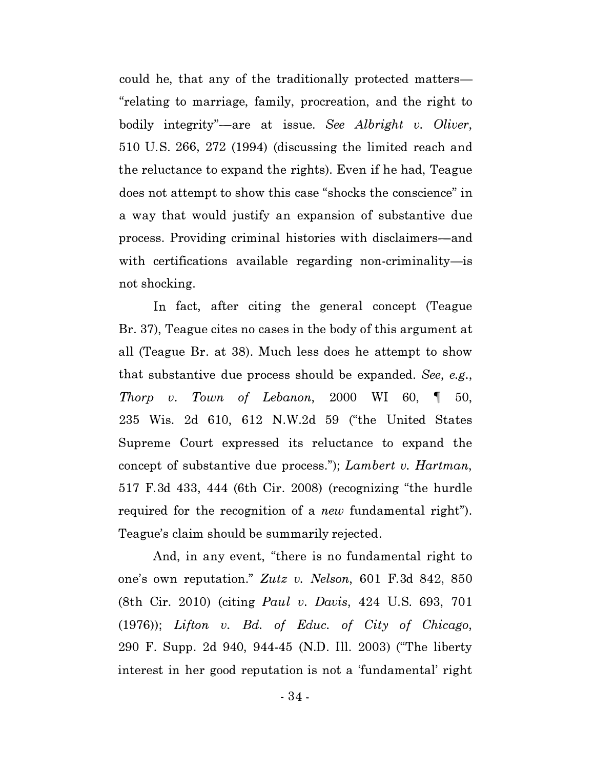could he, that any of the traditionally protected matters "relating to marriage, family, procreation, and the right to bodily integrity"—are at issue. See Albright v. Oliver, 510 U.S. 266, 272 (1994) (discussing the limited reach and the reluctance to expand the rights). Even if he had, Teague does not attempt to show this case "shocks the conscience" in a way that would justify an expansion of substantive due process. Providing criminal histories with disclaimers-and with certifications available regarding non-criminality-is not shocking.

In fact, after citing the general concept (Teague Br. 37), Teague cites no cases in the body of this argument at all (Teague Br. at 38). Much less does he attempt to show that substantive due process should be expanded. See, e.g., Thorp v. Town of Lebanon, 2000 WI 60,  $\parallel$  50, 235 Wis. 2d 610, 612 N.W.2d 59 ("the United States Supreme Court expressed its reluctance to expand the concept of substantive due process."); Lambert v. Hartman, 517 F.3d 433, 444 (6th Cir. 2008) (recognizing "the hurdle required for the recognition of a *new* fundamental right"). Teague's claim should be summarily rejected.

And, in any event, "there is no fundamental right to one's own reputation." Zutz v. Nelson, 601 F.3d 842, 850 (8th Cir. 2010) (citing Paul v. Davis, 424 U.S. 693, 701 (1976)); Lifton v. Bd. of Educ. of City of Chicago, 290 F. Supp. 2d 940, 944-45 (N.D. Ill. 2003) ("The liberty interest in her good reputation is not a 'fundamental' right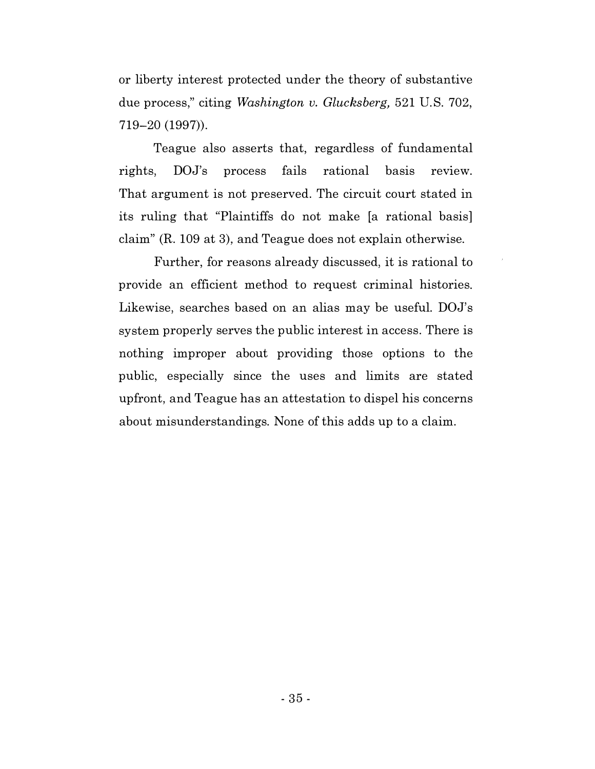or liberty interest protected under the theory of substantive due process," citing *Washington v. Glucksberg*, 521 U.S. 702, 719-20 (1997)).

Teague also asserts that, regardless of fundamental rights, DOJ's process fails rational basis review. That argument is not preserved. The circuit court stated in its ruling that "Plaintiffs do not make [a rational basis] claim" (R. 109 at 3), and Teague does not explain otherwise.

Further, for reasons already discussed, it is rational to provide an efficient method to request criminal histories. Likewise, searches based on an alias may be useful. DOJ's system properly serves the public interest in access. There is nothing improper about providing those options to the public, especially since the uses and limits are stated upfront, and Teague has an attestation to dispel his concerns about misunderstandings. None of this adds up to a claim.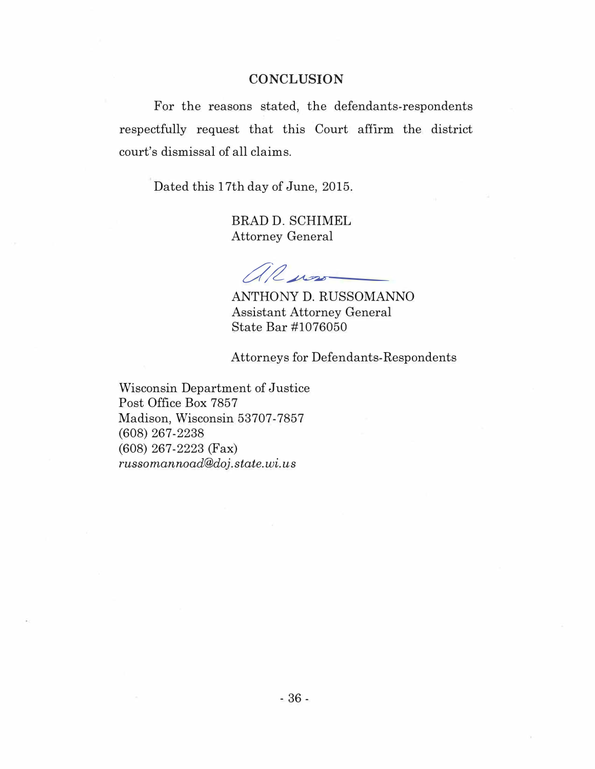#### **CONCLUSION**

For the reasons stated, the defendants-respondents respectfully request that this Court affirm the district court's dismissal of all claims.

Dated this 17th day of June, 2015.

BRAD D. SCHIMEL Attorney General

al nos

ANTHONY D. RUSSOMANNO Assistant Attorney General State Bar #1076050

Attorneys for Defendants-Respondents

Wisconsin Department of Justice Post Office Box 7857 Madison, Wisconsin 53707-7857 (608) 267-2238 (608) 267-2223 (Fax) russomannoad@doj . state. wi. us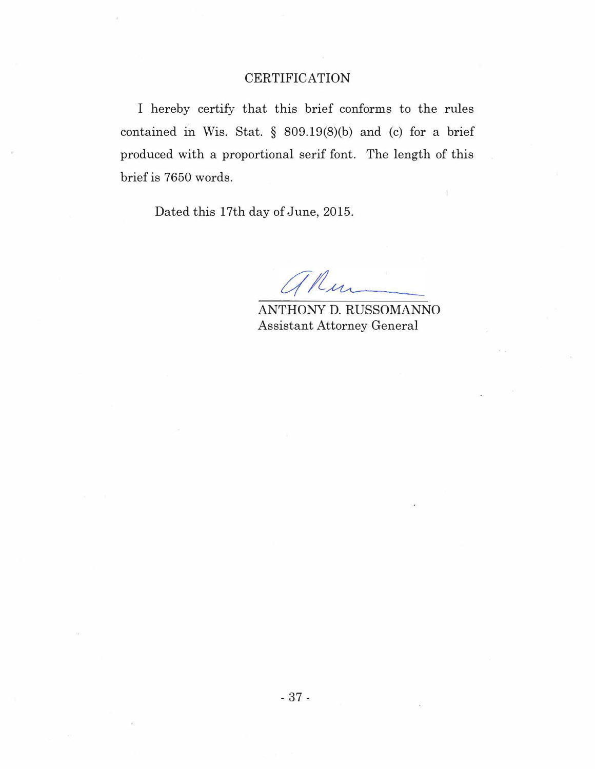# **CERTIFICATION**

I hereby certify that this brief conforms to the rules contained in Wis. Stat. § 809.19(8)(b) and (c) for a brief produced with a proportional serif font. The length of this brief is 7650 words.

Dated this 17th day of June, 2015.

'n

ANTHONY D. RUSSOMANNO Assistant Attorney General